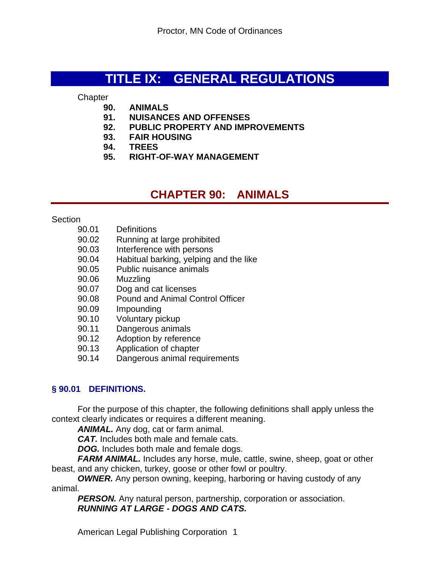# **TITLE IX: GENERAL REGULATIONS**

**Chapter** 

- **90. ANIMALS**
- **91. NUISANCES AND OFFENSES**
- **92. PUBLIC PROPERTY AND IMPROVEMENTS**
- **93. FAIR HOUSING**
- **94. TREES**
- **95. RIGHT-OF-WAY MANAGEMENT**

# **CHAPTER 90: ANIMALS**

#### Section

- 90.01 Definitions
- 90.02 Running at large prohibited
- 90.03 Interference with persons
- 90.04 Habitual barking, yelping and the like
- 90.05 Public nuisance animals
- 90.06 Muzzling
- 90.07 Dog and cat licenses
- 90.08 Pound and Animal Control Officer
- 90.09 Impounding
- 90.10 Voluntary pickup
- 90.11 Dangerous animals
- 90.12 Adoption by reference
- 90.13 Application of chapter
- 90.14 Dangerous animal requirements

# **§ 90.01 DEFINITIONS.**

For the purpose of this chapter, the following definitions shall apply unless the context clearly indicates or requires a different meaning.

*ANIMAL.* Any dog, cat or farm animal.

*CAT.* Includes both male and female cats.

*DOG.* Includes both male and female dogs.

FARM ANIMAL. Includes any horse, mule, cattle, swine, sheep, goat or other beast, and any chicken, turkey, goose or other fowl or poultry.

*OWNER.* Any person owning, keeping, harboring or having custody of any animal.

**PERSON.** Any natural person, partnership, corporation or association. *RUNNING AT LARGE - DOGS AND CATS.*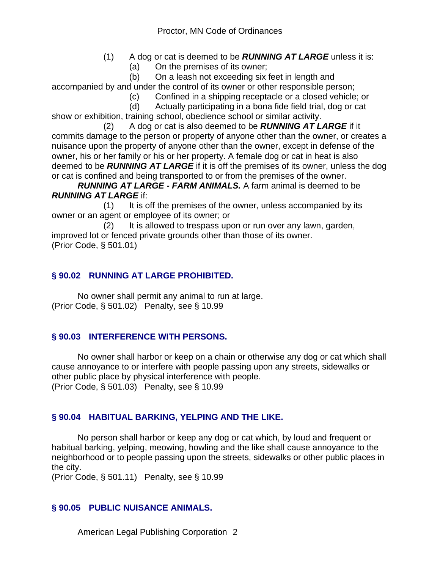- (1) A dog or cat is deemed to be *RUNNING AT LARGE* unless it is:
	- (a) On the premises of its owner;

 (b) On a leash not exceeding six feet in length and accompanied by and under the control of its owner or other responsible person;

- (c) Confined in a shipping receptacle or a closed vehicle; or
- (d) Actually participating in a bona fide field trial, dog or cat

show or exhibition, training school, obedience school or similar activity.

 (2) A dog or cat is also deemed to be *RUNNING AT LARGE* if it commits damage to the person or property of anyone other than the owner, or creates a nuisance upon the property of anyone other than the owner, except in defense of the owner, his or her family or his or her property. A female dog or cat in heat is also deemed to be *RUNNING AT LARGE* if it is off the premises of its owner, unless the dog or cat is confined and being transported to or from the premises of the owner.

*RUNNING AT LARGE - FARM ANIMALS.* A farm animal is deemed to be *RUNNING AT LARGE* if:

 (1) It is off the premises of the owner, unless accompanied by its owner or an agent or employee of its owner; or

 (2) It is allowed to trespass upon or run over any lawn, garden, improved lot or fenced private grounds other than those of its owner. (Prior Code, § 501.01)

# **§ 90.02 RUNNING AT LARGE PROHIBITED.**

No owner shall permit any animal to run at large. (Prior Code, § 501.02) Penalty, see § 10.99

# **§ 90.03 INTERFERENCE WITH PERSONS.**

No owner shall harbor or keep on a chain or otherwise any dog or cat which shall cause annoyance to or interfere with people passing upon any streets, sidewalks or other public place by physical interference with people. (Prior Code, § 501.03) Penalty, see § 10.99

# **§ 90.04 HABITUAL BARKING, YELPING AND THE LIKE.**

No person shall harbor or keep any dog or cat which, by loud and frequent or habitual barking, yelping, meowing, howling and the like shall cause annoyance to the neighborhood or to people passing upon the streets, sidewalks or other public places in the city.

(Prior Code, § 501.11) Penalty, see § 10.99

# **§ 90.05 PUBLIC NUISANCE ANIMALS.**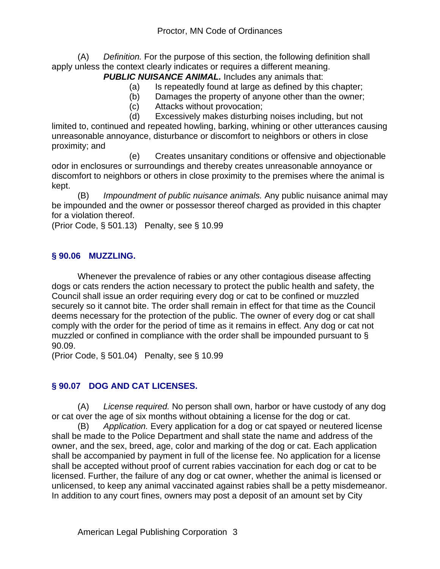(A) *Definition.* For the purpose of this section, the following definition shall apply unless the context clearly indicates or requires a different meaning.

**PUBLIC NUISANCE ANIMAL.** Includes any animals that:

- (a) Is repeatedly found at large as defined by this chapter;
- (b) Damages the property of anyone other than the owner;
- (c) Attacks without provocation;
- (d) Excessively makes disturbing noises including, but not

limited to, continued and repeated howling, barking, whining or other utterances causing unreasonable annoyance, disturbance or discomfort to neighbors or others in close proximity; and

 (e) Creates unsanitary conditions or offensive and objectionable odor in enclosures or surroundings and thereby creates unreasonable annoyance or discomfort to neighbors or others in close proximity to the premises where the animal is kept.

(B) *Impoundment of public nuisance animals.* Any public nuisance animal may be impounded and the owner or possessor thereof charged as provided in this chapter for a violation thereof.

(Prior Code, § 501.13) Penalty, see § 10.99

### **§ 90.06 MUZZLING.**

Whenever the prevalence of rabies or any other contagious disease affecting dogs or cats renders the action necessary to protect the public health and safety, the Council shall issue an order requiring every dog or cat to be confined or muzzled securely so it cannot bite. The order shall remain in effect for that time as the Council deems necessary for the protection of the public. The owner of every dog or cat shall comply with the order for the period of time as it remains in effect. Any dog or cat not muzzled or confined in compliance with the order shall be impounded pursuant to § 90.09.

(Prior Code, § 501.04) Penalty, see § 10.99

#### **§ 90.07 DOG AND CAT LICENSES.**

(A) *License required.* No person shall own, harbor or have custody of any dog or cat over the age of six months without obtaining a license for the dog or cat.

(B) *Application.* Every application for a dog or cat spayed or neutered license shall be made to the Police Department and shall state the name and address of the owner, and the sex, breed, age, color and marking of the dog or cat. Each application shall be accompanied by payment in full of the license fee. No application for a license shall be accepted without proof of current rabies vaccination for each dog or cat to be licensed. Further, the failure of any dog or cat owner, whether the animal is licensed or unlicensed, to keep any animal vaccinated against rabies shall be a petty misdemeanor. In addition to any court fines, owners may post a deposit of an amount set by City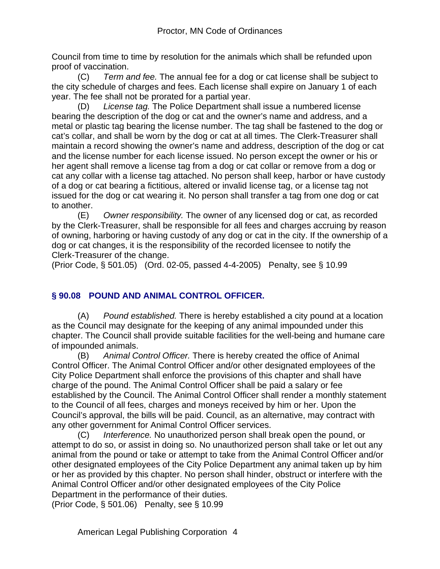Council from time to time by resolution for the animals which shall be refunded upon proof of vaccination.

(C) *Term and fee.* The annual fee for a dog or cat license shall be subject to the city schedule of charges and fees. Each license shall expire on January 1 of each year. The fee shall not be prorated for a partial year.

(D) *License tag.* The Police Department shall issue a numbered license bearing the description of the dog or cat and the owner's name and address, and a metal or plastic tag bearing the license number. The tag shall be fastened to the dog or cat's collar, and shall be worn by the dog or cat at all times. The Clerk-Treasurer shall maintain a record showing the owner's name and address, description of the dog or cat and the license number for each license issued. No person except the owner or his or her agent shall remove a license tag from a dog or cat collar or remove from a dog or cat any collar with a license tag attached. No person shall keep, harbor or have custody of a dog or cat bearing a fictitious, altered or invalid license tag, or a license tag not issued for the dog or cat wearing it. No person shall transfer a tag from one dog or cat to another.

(E) *Owner responsibility.* The owner of any licensed dog or cat, as recorded by the Clerk-Treasurer, shall be responsible for all fees and charges accruing by reason of owning, harboring or having custody of any dog or cat in the city. If the ownership of a dog or cat changes, it is the responsibility of the recorded licensee to notify the Clerk-Treasurer of the change.

(Prior Code, § 501.05) (Ord. 02-05, passed 4-4-2005) Penalty, see § 10.99

# **§ 90.08 POUND AND ANIMAL CONTROL OFFICER.**

(A) *Pound established.* There is hereby established a city pound at a location as the Council may designate for the keeping of any animal impounded under this chapter. The Council shall provide suitable facilities for the well-being and humane care of impounded animals.

(B) *Animal Control Officer.* There is hereby created the office of Animal Control Officer. The Animal Control Officer and/or other designated employees of the City Police Department shall enforce the provisions of this chapter and shall have charge of the pound. The Animal Control Officer shall be paid a salary or fee established by the Council. The Animal Control Officer shall render a monthly statement to the Council of all fees, charges and moneys received by him or her. Upon the Council's approval, the bills will be paid. Council, as an alternative, may contract with any other government for Animal Control Officer services.

(C) *Interference.* No unauthorized person shall break open the pound, or attempt to do so, or assist in doing so. No unauthorized person shall take or let out any animal from the pound or take or attempt to take from the Animal Control Officer and/or other designated employees of the City Police Department any animal taken up by him or her as provided by this chapter. No person shall hinder, obstruct or interfere with the Animal Control Officer and/or other designated employees of the City Police Department in the performance of their duties.

(Prior Code, § 501.06) Penalty, see § 10.99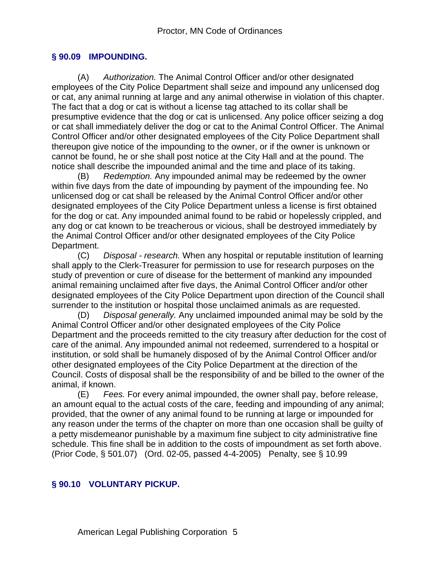#### **§ 90.09 IMPOUNDING.**

(A) *Authorization.* The Animal Control Officer and/or other designated employees of the City Police Department shall seize and impound any unlicensed dog or cat, any animal running at large and any animal otherwise in violation of this chapter. The fact that a dog or cat is without a license tag attached to its collar shall be presumptive evidence that the dog or cat is unlicensed. Any police officer seizing a dog or cat shall immediately deliver the dog or cat to the Animal Control Officer. The Animal Control Officer and/or other designated employees of the City Police Department shall thereupon give notice of the impounding to the owner, or if the owner is unknown or cannot be found, he or she shall post notice at the City Hall and at the pound. The notice shall describe the impounded animal and the time and place of its taking.

(B) *Redemption.* Any impounded animal may be redeemed by the owner within five days from the date of impounding by payment of the impounding fee. No unlicensed dog or cat shall be released by the Animal Control Officer and/or other designated employees of the City Police Department unless a license is first obtained for the dog or cat. Any impounded animal found to be rabid or hopelessly crippled, and any dog or cat known to be treacherous or vicious, shall be destroyed immediately by the Animal Control Officer and/or other designated employees of the City Police Department.

(C) *Disposal - research.* When any hospital or reputable institution of learning shall apply to the Clerk-Treasurer for permission to use for research purposes on the study of prevention or cure of disease for the betterment of mankind any impounded animal remaining unclaimed after five days, the Animal Control Officer and/or other designated employees of the City Police Department upon direction of the Council shall surrender to the institution or hospital those unclaimed animals as are requested.

(D) *Disposal generally.* Any unclaimed impounded animal may be sold by the Animal Control Officer and/or other designated employees of the City Police Department and the proceeds remitted to the city treasury after deduction for the cost of care of the animal. Any impounded animal not redeemed, surrendered to a hospital or institution, or sold shall be humanely disposed of by the Animal Control Officer and/or other designated employees of the City Police Department at the direction of the Council. Costs of disposal shall be the responsibility of and be billed to the owner of the animal, if known.

(E) *Fees.* For every animal impounded, the owner shall pay, before release, an amount equal to the actual costs of the care, feeding and impounding of any animal; provided, that the owner of any animal found to be running at large or impounded for any reason under the terms of the chapter on more than one occasion shall be guilty of a petty misdemeanor punishable by a maximum fine subject to city administrative fine schedule. This fine shall be in addition to the costs of impoundment as set forth above. (Prior Code, § 501.07) (Ord. 02-05, passed 4-4-2005) Penalty, see § 10.99

#### **§ 90.10 VOLUNTARY PICKUP.**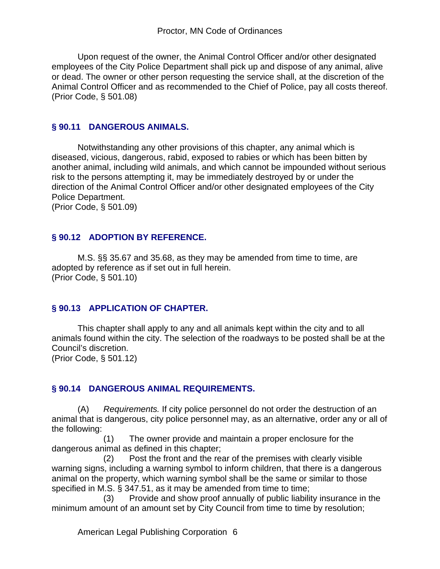Upon request of the owner, the Animal Control Officer and/or other designated employees of the City Police Department shall pick up and dispose of any animal, alive or dead. The owner or other person requesting the service shall, at the discretion of the Animal Control Officer and as recommended to the Chief of Police, pay all costs thereof. (Prior Code, § 501.08)

#### **§ 90.11 DANGEROUS ANIMALS.**

Notwithstanding any other provisions of this chapter, any animal which is diseased, vicious, dangerous, rabid, exposed to rabies or which has been bitten by another animal, including wild animals, and which cannot be impounded without serious risk to the persons attempting it, may be immediately destroyed by or under the direction of the Animal Control Officer and/or other designated employees of the City Police Department.

(Prior Code, § 501.09)

#### **§ 90.12 ADOPTION BY REFERENCE.**

M.S. §§ 35.67 and 35.68, as they may be amended from time to time, are adopted by reference as if set out in full herein. (Prior Code, § 501.10)

#### **§ 90.13 APPLICATION OF CHAPTER.**

This chapter shall apply to any and all animals kept within the city and to all animals found within the city. The selection of the roadways to be posted shall be at the Council's discretion.

(Prior Code, § 501.12)

#### **§ 90.14 DANGEROUS ANIMAL REQUIREMENTS.**

(A) *Requirements.* If city police personnel do not order the destruction of an animal that is dangerous, city police personnel may, as an alternative, order any or all of the following:

 (1) The owner provide and maintain a proper enclosure for the dangerous animal as defined in this chapter;

 (2) Post the front and the rear of the premises with clearly visible warning signs, including a warning symbol to inform children, that there is a dangerous animal on the property, which warning symbol shall be the same or similar to those specified in M.S. § 347.51, as it may be amended from time to time;

 (3) Provide and show proof annually of public liability insurance in the minimum amount of an amount set by City Council from time to time by resolution;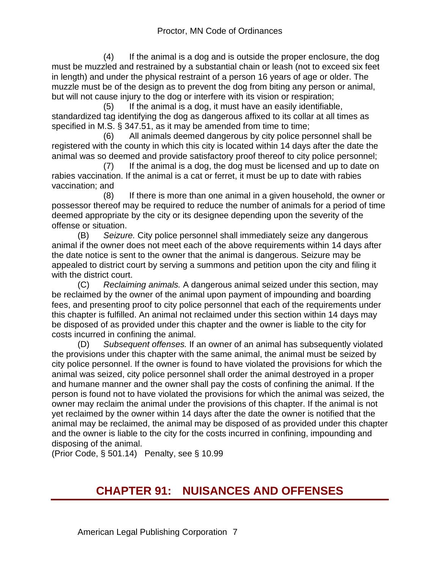(4) If the animal is a dog and is outside the proper enclosure, the dog must be muzzled and restrained by a substantial chain or leash (not to exceed six feet in length) and under the physical restraint of a person 16 years of age or older. The muzzle must be of the design as to prevent the dog from biting any person or animal, but will not cause injury to the dog or interfere with its vision or respiration;

 (5) If the animal is a dog, it must have an easily identifiable, standardized tag identifying the dog as dangerous affixed to its collar at all times as specified in M.S. § 347.51, as it may be amended from time to time;

 (6) All animals deemed dangerous by city police personnel shall be registered with the county in which this city is located within 14 days after the date the animal was so deemed and provide satisfactory proof thereof to city police personnel;

 (7) If the animal is a dog, the dog must be licensed and up to date on rabies vaccination. If the animal is a cat or ferret, it must be up to date with rabies vaccination; and

 (8) If there is more than one animal in a given household, the owner or possessor thereof may be required to reduce the number of animals for a period of time deemed appropriate by the city or its designee depending upon the severity of the offense or situation.

(B) *Seizure.* City police personnel shall immediately seize any dangerous animal if the owner does not meet each of the above requirements within 14 days after the date notice is sent to the owner that the animal is dangerous. Seizure may be appealed to district court by serving a summons and petition upon the city and filing it with the district court.

(C) *Reclaiming animals.* A dangerous animal seized under this section, may be reclaimed by the owner of the animal upon payment of impounding and boarding fees, and presenting proof to city police personnel that each of the requirements under this chapter is fulfilled. An animal not reclaimed under this section within 14 days may be disposed of as provided under this chapter and the owner is liable to the city for costs incurred in confining the animal.

(D) *Subsequent offenses.* If an owner of an animal has subsequently violated the provisions under this chapter with the same animal, the animal must be seized by city police personnel. If the owner is found to have violated the provisions for which the animal was seized, city police personnel shall order the animal destroyed in a proper and humane manner and the owner shall pay the costs of confining the animal. If the person is found not to have violated the provisions for which the animal was seized, the owner may reclaim the animal under the provisions of this chapter. If the animal is not yet reclaimed by the owner within 14 days after the date the owner is notified that the animal may be reclaimed, the animal may be disposed of as provided under this chapter and the owner is liable to the city for the costs incurred in confining, impounding and disposing of the animal.

(Prior Code, § 501.14) Penalty, see § 10.99

# **CHAPTER 91: NUISANCES AND OFFENSES**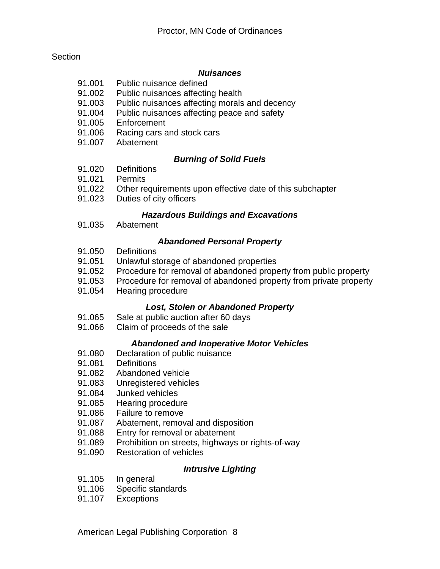#### **Section**

#### *Nuisances*

- 91.001 Public nuisance defined
- 91.002 Public nuisances affecting health
- 91.003 Public nuisances affecting morals and decency
- 91.004 Public nuisances affecting peace and safety
- 91.005 Enforcement<br>91.006 Racing cars a
- Racing cars and stock cars
- 91.007 Abatement

#### *Burning of Solid Fuels*

- 91.020 Definitions
- 91.021 Permits
- 91.022 Other requirements upon effective date of this subchapter
- 91.023 Duties of city officers

#### *Hazardous Buildings and Excavations*

91.035 Abatement

#### *Abandoned Personal Property*

- 91.050 Definitions
- 91.051 Unlawful storage of abandoned properties
- 91.052 Procedure for removal of abandoned property from public property
- 91.053 Procedure for removal of abandoned property from private property
- 91.054 Hearing procedure

#### *Lost, Stolen or Abandoned Property*

- 91.065 Sale at public auction after 60 days
- 91.066 Claim of proceeds of the sale

#### *Abandoned and Inoperative Motor Vehicles*

- 91.080 Declaration of public nuisance
- 91.081 Definitions
- 91.082 Abandoned vehicle
- 91.083 Unregistered vehicles
- 91.084 Junked vehicles
- 91.085 Hearing procedure<br>91.086 Failure to remove
- Failure to remove
- 91.087 Abatement, removal and disposition
- 91.088 Entry for removal or abatement
- 91.089 Prohibition on streets, highways or rights-of-way
- 91.090 Restoration of vehicles

#### *Intrusive Lighting*

- 91.105 In general
- 91.106 Specific standards
- 91.107 Exceptions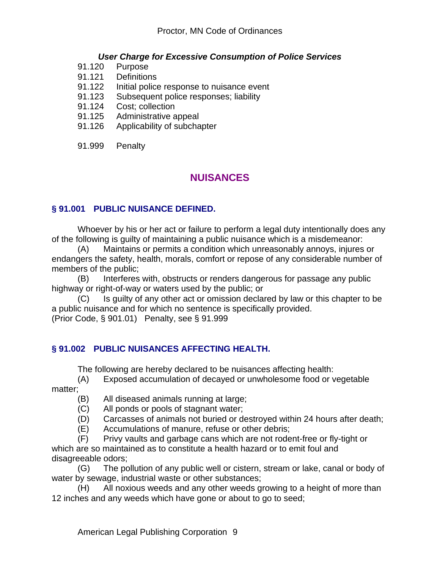#### *User Charge for Excessive Consumption of Police Services*

- 91.120 Purpose
- 91.121 Definitions
- 91.122 Initial police response to nuisance event
- 91.123 Subsequent police responses; liability
- 91.124 Cost; collection
- 91.125 Administrative appeal
- 91.126 Applicability of subchapter
- 91.999 Penalty

# **NUISANCES**

### **§ 91.001 PUBLIC NUISANCE DEFINED.**

Whoever by his or her act or failure to perform a legal duty intentionally does any of the following is guilty of maintaining a public nuisance which is a misdemeanor:

(A) Maintains or permits a condition which unreasonably annoys, injures or endangers the safety, health, morals, comfort or repose of any considerable number of members of the public;

(B) Interferes with, obstructs or renders dangerous for passage any public highway or right-of-way or waters used by the public; or

(C) Is guilty of any other act or omission declared by law or this chapter to be a public nuisance and for which no sentence is specifically provided. (Prior Code, § 901.01) Penalty, see § 91.999

#### **§ 91.002 PUBLIC NUISANCES AFFECTING HEALTH.**

The following are hereby declared to be nuisances affecting health:

(A) Exposed accumulation of decayed or unwholesome food or vegetable matter;

(B) All diseased animals running at large;

- (C) All ponds or pools of stagnant water;
- (D) Carcasses of animals not buried or destroyed within 24 hours after death;
- (E) Accumulations of manure, refuse or other debris;

(F) Privy vaults and garbage cans which are not rodent-free or fly-tight or which are so maintained as to constitute a health hazard or to emit foul and disagreeable odors;

(G) The pollution of any public well or cistern, stream or lake, canal or body of water by sewage, industrial waste or other substances;

(H) All noxious weeds and any other weeds growing to a height of more than 12 inches and any weeds which have gone or about to go to seed;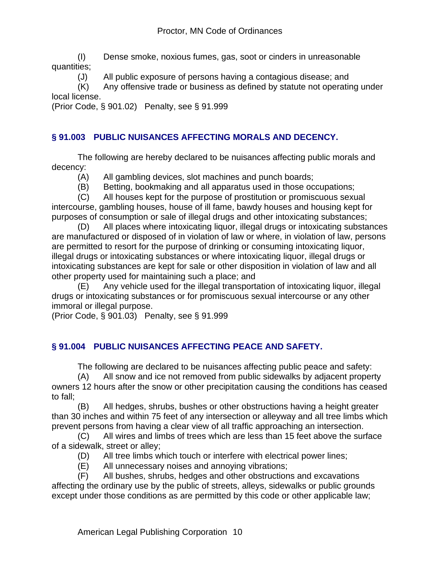(I) Dense smoke, noxious fumes, gas, soot or cinders in unreasonable quantities;

(J) All public exposure of persons having a contagious disease; and

(K) Any offensive trade or business as defined by statute not operating under local license.

(Prior Code, § 901.02) Penalty, see § 91.999

# **§ 91.003 PUBLIC NUISANCES AFFECTING MORALS AND DECENCY.**

The following are hereby declared to be nuisances affecting public morals and decency:

(A) All gambling devices, slot machines and punch boards;

(B) Betting, bookmaking and all apparatus used in those occupations;

(C) All houses kept for the purpose of prostitution or promiscuous sexual intercourse, gambling houses, house of ill fame, bawdy houses and housing kept for purposes of consumption or sale of illegal drugs and other intoxicating substances;

(D) All places where intoxicating liquor, illegal drugs or intoxicating substances are manufactured or disposed of in violation of law or where, in violation of law, persons are permitted to resort for the purpose of drinking or consuming intoxicating liquor, illegal drugs or intoxicating substances or where intoxicating liquor, illegal drugs or intoxicating substances are kept for sale or other disposition in violation of law and all other property used for maintaining such a place; and

(E) Any vehicle used for the illegal transportation of intoxicating liquor, illegal drugs or intoxicating substances or for promiscuous sexual intercourse or any other immoral or illegal purpose.

(Prior Code, § 901.03) Penalty, see § 91.999

# **§ 91.004 PUBLIC NUISANCES AFFECTING PEACE AND SAFETY.**

The following are declared to be nuisances affecting public peace and safety:

(A) All snow and ice not removed from public sidewalks by adjacent property owners 12 hours after the snow or other precipitation causing the conditions has ceased to fall;

(B) All hedges, shrubs, bushes or other obstructions having a height greater than 30 inches and within 75 feet of any intersection or alleyway and all tree limbs which prevent persons from having a clear view of all traffic approaching an intersection.

(C) All wires and limbs of trees which are less than 15 feet above the surface of a sidewalk, street or alley;

- (D) All tree limbs which touch or interfere with electrical power lines;
- (E) All unnecessary noises and annoying vibrations;

(F) All bushes, shrubs, hedges and other obstructions and excavations affecting the ordinary use by the public of streets, alleys, sidewalks or public grounds except under those conditions as are permitted by this code or other applicable law;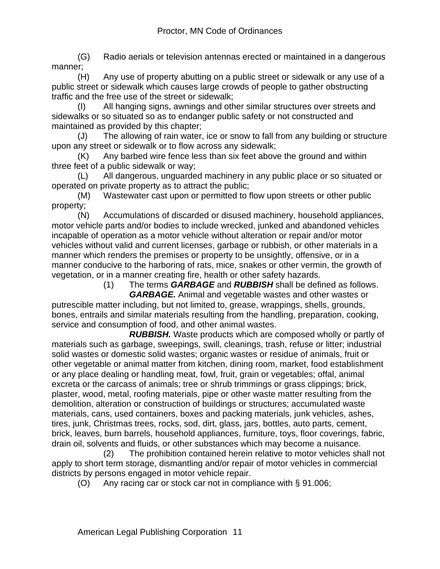(G) Radio aerials or television antennas erected or maintained in a dangerous manner;

(H) Any use of property abutting on a public street or sidewalk or any use of a public street or sidewalk which causes large crowds of people to gather obstructing traffic and the free use of the street or sidewalk;

(I) All hanging signs, awnings and other similar structures over streets and sidewalks or so situated so as to endanger public safety or not constructed and maintained as provided by this chapter;

(J) The allowing of rain water, ice or snow to fall from any building or structure upon any street or sidewalk or to flow across any sidewalk;

(K) Any barbed wire fence less than six feet above the ground and within three feet of a public sidewalk or way;

(L) All dangerous, unguarded machinery in any public place or so situated or operated on private property as to attract the public;

(M) Wastewater cast upon or permitted to flow upon streets or other public property;

(N) Accumulations of discarded or disused machinery, household appliances, motor vehicle parts and/or bodies to include wrecked, junked and abandoned vehicles incapable of operation as a motor vehicle without alteration or repair and/or motor vehicles without valid and current licenses, garbage or rubbish, or other materials in a manner which renders the premises or property to be unsightly, offensive, or in a manner conducive to the harboring of rats, mice, snakes or other vermin, the growth of vegetation, or in a manner creating fire, health or other safety hazards.

(1) The terms *GARBAGE* and *RUBBISH* shall be defined as follows.

 *GARBAGE.* Animal and vegetable wastes and other wastes or putrescible matter including, but not limited to, grease, wrappings, shells, grounds, bones, entrails and similar materials resulting from the handling, preparation, cooking, service and consumption of food, and other animal wastes.

 *RUBBISH.* Waste products which are composed wholly or partly of materials such as garbage, sweepings, swill, cleanings, trash, refuse or litter; industrial solid wastes or domestic solid wastes; organic wastes or residue of animals, fruit or other vegetable or animal matter from kitchen, dining room, market, food establishment or any place dealing or handling meat, fowl, fruit, grain or vegetables; offal, animal excreta or the carcass of animals; tree or shrub trimmings or grass clippings; brick, plaster, wood, metal, roofing materials, pipe or other waste matter resulting from the demolition, alteration or construction of buildings or structures; accumulated waste materials, cans, used containers, boxes and packing materials, junk vehicles, ashes, tires, junk, Christmas trees, rocks, sod, dirt, glass, jars, bottles, auto parts, cement, brick, leaves, burn barrels, household appliances, furniture, toys, floor coverings, fabric, drain oil, solvents and fluids, or other substances which may become a nuisance.

 (2) The prohibition contained herein relative to motor vehicles shall not apply to short term storage, dismantling and/or repair of motor vehicles in commercial districts by persons engaged in motor vehicle repair.

(O) Any racing car or stock car not in compliance with § 91.006;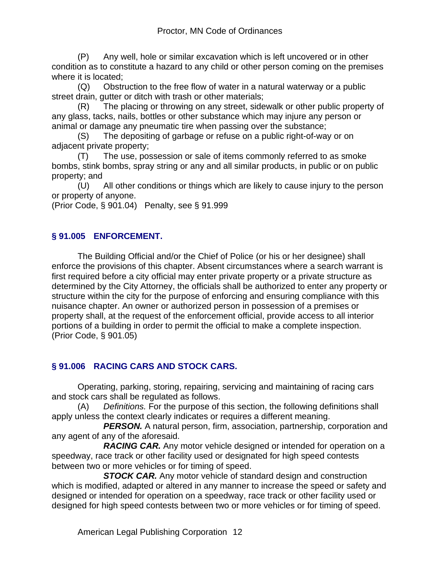(P) Any well, hole or similar excavation which is left uncovered or in other condition as to constitute a hazard to any child or other person coming on the premises where it is located;

(Q) Obstruction to the free flow of water in a natural waterway or a public street drain, gutter or ditch with trash or other materials;

(R) The placing or throwing on any street, sidewalk or other public property of any glass, tacks, nails, bottles or other substance which may injure any person or animal or damage any pneumatic tire when passing over the substance;

(S) The depositing of garbage or refuse on a public right-of-way or on adjacent private property;

(T) The use, possession or sale of items commonly referred to as smoke bombs, stink bombs, spray string or any and all similar products, in public or on public property; and

(U) All other conditions or things which are likely to cause injury to the person or property of anyone.

(Prior Code, § 901.04) Penalty, see § 91.999

# **§ 91.005 ENFORCEMENT.**

The Building Official and/or the Chief of Police (or his or her designee) shall enforce the provisions of this chapter. Absent circumstances where a search warrant is first required before a city official may enter private property or a private structure as determined by the City Attorney, the officials shall be authorized to enter any property or structure within the city for the purpose of enforcing and ensuring compliance with this nuisance chapter. An owner or authorized person in possession of a premises or property shall, at the request of the enforcement official, provide access to all interior portions of a building in order to permit the official to make a complete inspection. (Prior Code, § 901.05)

# **§ 91.006 RACING CARS AND STOCK CARS.**

Operating, parking, storing, repairing, servicing and maintaining of racing cars and stock cars shall be regulated as follows.

(A) *Definitions.* For the purpose of this section, the following definitions shall apply unless the context clearly indicates or requires a different meaning.

**PERSON.** A natural person, firm, association, partnership, corporation and any agent of any of the aforesaid.

 *RACING CAR.* Any motor vehicle designed or intended for operation on a speedway, race track or other facility used or designated for high speed contests between two or more vehicles or for timing of speed.

 *STOCK CAR.* Any motor vehicle of standard design and construction which is modified, adapted or altered in any manner to increase the speed or safety and designed or intended for operation on a speedway, race track or other facility used or designed for high speed contests between two or more vehicles or for timing of speed.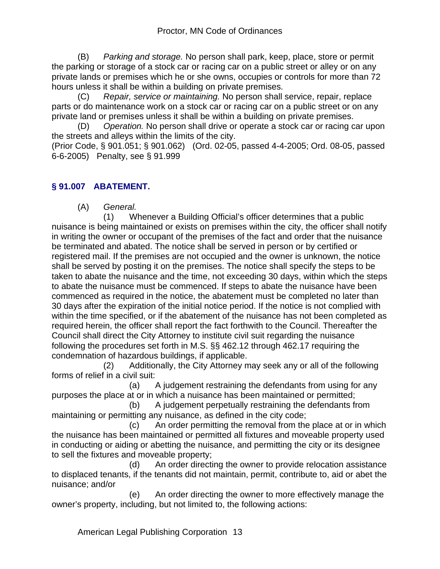(B) *Parking and storage.* No person shall park, keep, place, store or permit the parking or storage of a stock car or racing car on a public street or alley or on any private lands or premises which he or she owns, occupies or controls for more than 72 hours unless it shall be within a building on private premises.

(C) *Repair, service or maintaining.* No person shall service, repair, replace parts or do maintenance work on a stock car or racing car on a public street or on any private land or premises unless it shall be within a building on private premises.

(D) *Operation.* No person shall drive or operate a stock car or racing car upon the streets and alleys within the limits of the city.

(Prior Code, § 901.051; § 901.062) (Ord. 02-05, passed 4-4-2005; Ord. 08-05, passed 6-6-2005) Penalty, see § 91.999

# **§ 91.007 ABATEMENT.**

(A) *General.*

 (1) Whenever a Building Official's officer determines that a public nuisance is being maintained or exists on premises within the city, the officer shall notify in writing the owner or occupant of the premises of the fact and order that the nuisance be terminated and abated. The notice shall be served in person or by certified or registered mail. If the premises are not occupied and the owner is unknown, the notice shall be served by posting it on the premises. The notice shall specify the steps to be taken to abate the nuisance and the time, not exceeding 30 days, within which the steps to abate the nuisance must be commenced. If steps to abate the nuisance have been commenced as required in the notice, the abatement must be completed no later than 30 days after the expiration of the initial notice period. If the notice is not complied with within the time specified, or if the abatement of the nuisance has not been completed as required herein, the officer shall report the fact forthwith to the Council. Thereafter the Council shall direct the City Attorney to institute civil suit regarding the nuisance following the procedures set forth in M.S. §§ 462.12 through 462.17 requiring the condemnation of hazardous buildings, if applicable.

 (2) Additionally, the City Attorney may seek any or all of the following forms of relief in a civil suit:

 (a) A judgement restraining the defendants from using for any purposes the place at or in which a nuisance has been maintained or permitted;

 (b) A judgement perpetually restraining the defendants from maintaining or permitting any nuisance, as defined in the city code;

 (c) An order permitting the removal from the place at or in which the nuisance has been maintained or permitted all fixtures and moveable property used in conducting or aiding or abetting the nuisance, and permitting the city or its designee to sell the fixtures and moveable property;

 (d) An order directing the owner to provide relocation assistance to displaced tenants, if the tenants did not maintain, permit, contribute to, aid or abet the nuisance; and/or

 (e) An order directing the owner to more effectively manage the owner's property, including, but not limited to, the following actions: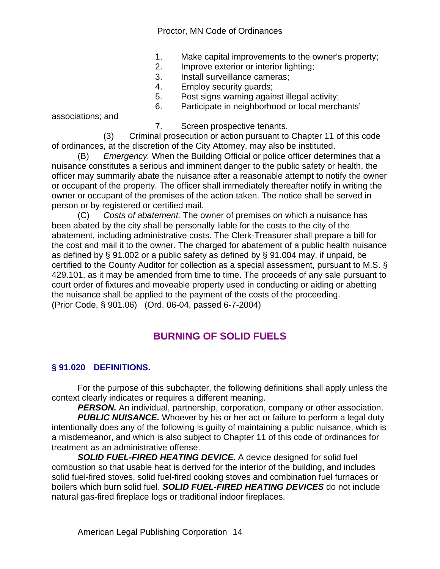Proctor, MN Code of Ordinances

- 1. Make capital improvements to the owner's property;
- 2. Improve exterior or interior lighting;
- 3. Install surveillance cameras;
- 4. Employ security guards;
- 5. Post signs warning against illegal activity;
- 6. Participate in neighborhood or local merchants'

associations; and

7. Screen prospective tenants.

 (3) Criminal prosecution or action pursuant to Chapter 11 of this code of ordinances, at the discretion of the City Attorney, may also be instituted.

(B) *Emergency.* When the Building Official or police officer determines that a nuisance constitutes a serious and imminent danger to the public safety or health, the officer may summarily abate the nuisance after a reasonable attempt to notify the owner or occupant of the property. The officer shall immediately thereafter notify in writing the owner or occupant of the premises of the action taken. The notice shall be served in person or by registered or certified mail.

(C) *Costs of abatement.* The owner of premises on which a nuisance has been abated by the city shall be personally liable for the costs to the city of the abatement, including administrative costs. The Clerk-Treasurer shall prepare a bill for the cost and mail it to the owner. The charged for abatement of a public health nuisance as defined by § 91.002 or a public safety as defined by § 91.004 may, if unpaid, be certified to the County Auditor for collection as a special assessment, pursuant to M.S. § 429.101, as it may be amended from time to time. The proceeds of any sale pursuant to court order of fixtures and moveable property used in conducting or aiding or abetting the nuisance shall be applied to the payment of the costs of the proceeding. (Prior Code, § 901.06) (Ord. 06-04, passed 6-7-2004)

# **BURNING OF SOLID FUELS**

# **§ 91.020 DEFINITIONS.**

For the purpose of this subchapter, the following definitions shall apply unless the context clearly indicates or requires a different meaning.

*PERSON.* An individual, partnership, corporation, company or other association.

**PUBLIC NUISANCE.** Whoever by his or her act or failure to perform a legal duty intentionally does any of the following is guilty of maintaining a public nuisance, which is a misdemeanor, and which is also subject to Chapter 11 of this code of ordinances for treatment as an administrative offense.

*SOLID FUEL-FIRED HEATING DEVICE.* A device designed for solid fuel combustion so that usable heat is derived for the interior of the building, and includes solid fuel-fired stoves, solid fuel-fired cooking stoves and combination fuel furnaces or boilers which burn solid fuel. *SOLID FUEL-FIRED HEATING DEVICES* do not include natural gas-fired fireplace logs or traditional indoor fireplaces.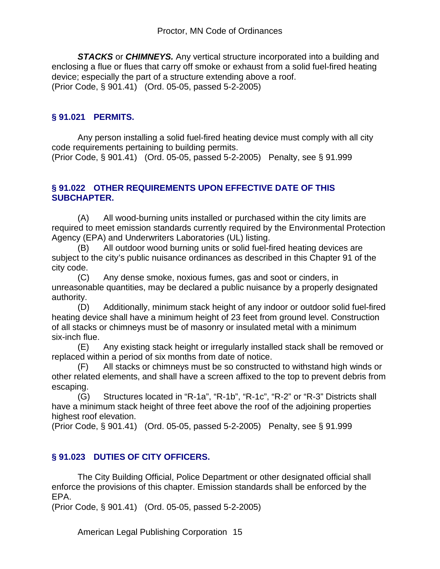*STACKS* or *CHIMNEYS.* Any vertical structure incorporated into a building and enclosing a flue or flues that carry off smoke or exhaust from a solid fuel-fired heating device; especially the part of a structure extending above a roof. (Prior Code, § 901.41) (Ord. 05-05, passed 5-2-2005)

#### **§ 91.021 PERMITS.**

Any person installing a solid fuel-fired heating device must comply with all city code requirements pertaining to building permits.

(Prior Code, § 901.41) (Ord. 05-05, passed 5-2-2005) Penalty, see § 91.999

#### **§ 91.022 OTHER REQUIREMENTS UPON EFFECTIVE DATE OF THIS SUBCHAPTER.**

(A) All wood-burning units installed or purchased within the city limits are required to meet emission standards currently required by the Environmental Protection Agency (EPA) and Underwriters Laboratories (UL) listing.

(B) All outdoor wood burning units or solid fuel-fired heating devices are subject to the city's public nuisance ordinances as described in this Chapter 91 of the city code.

(C) Any dense smoke, noxious fumes, gas and soot or cinders, in unreasonable quantities, may be declared a public nuisance by a properly designated authority.

(D) Additionally, minimum stack height of any indoor or outdoor solid fuel-fired heating device shall have a minimum height of 23 feet from ground level. Construction of all stacks or chimneys must be of masonry or insulated metal with a minimum six-inch flue.

(E) Any existing stack height or irregularly installed stack shall be removed or replaced within a period of six months from date of notice.

(F) All stacks or chimneys must be so constructed to withstand high winds or other related elements, and shall have a screen affixed to the top to prevent debris from escaping.

(G) Structures located in "R-1a", "R-1b", "R-1c", "R-2" or "R-3" Districts shall have a minimum stack height of three feet above the roof of the adjoining properties highest roof elevation.

(Prior Code, § 901.41) (Ord. 05-05, passed 5-2-2005) Penalty, see § 91.999

# **§ 91.023 DUTIES OF CITY OFFICERS.**

The City Building Official, Police Department or other designated official shall enforce the provisions of this chapter. Emission standards shall be enforced by the EPA.

(Prior Code, § 901.41) (Ord. 05-05, passed 5-2-2005)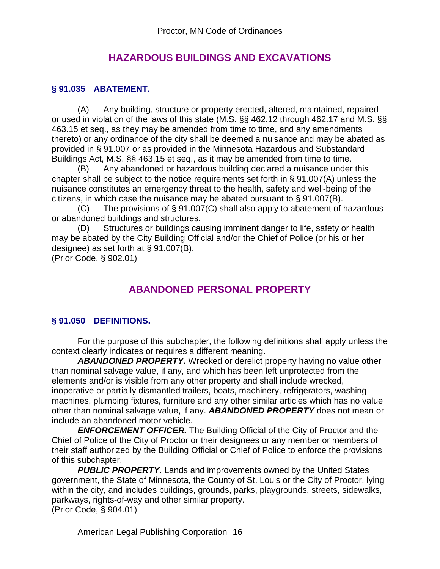# **HAZARDOUS BUILDINGS AND EXCAVATIONS**

#### **§ 91.035 ABATEMENT.**

(A) Any building, structure or property erected, altered, maintained, repaired or used in violation of the laws of this state (M.S. §§ 462.12 through 462.17 and M.S. §§ 463.15 et seq., as they may be amended from time to time, and any amendments thereto) or any ordinance of the city shall be deemed a nuisance and may be abated as provided in § 91.007 or as provided in the Minnesota Hazardous and Substandard Buildings Act, M.S. §§ 463.15 et seq., as it may be amended from time to time.

(B) Any abandoned or hazardous building declared a nuisance under this chapter shall be subject to the notice requirements set forth in § 91.007(A) unless the nuisance constitutes an emergency threat to the health, safety and well-being of the citizens, in which case the nuisance may be abated pursuant to § 91.007(B).

(C) The provisions of § 91.007(C) shall also apply to abatement of hazardous or abandoned buildings and structures.

(D) Structures or buildings causing imminent danger to life, safety or health may be abated by the City Building Official and/or the Chief of Police (or his or her designee) as set forth at § 91.007(B).

(Prior Code, § 902.01)

# **ABANDONED PERSONAL PROPERTY**

#### **§ 91.050 DEFINITIONS.**

For the purpose of this subchapter, the following definitions shall apply unless the context clearly indicates or requires a different meaning.

*ABANDONED PROPERTY.* Wrecked or derelict property having no value other than nominal salvage value, if any, and which has been left unprotected from the elements and/or is visible from any other property and shall include wrecked, inoperative or partially dismantled trailers, boats, machinery, refrigerators, washing machines, plumbing fixtures, furniture and any other similar articles which has no value other than nominal salvage value, if any. *ABANDONED PROPERTY* does not mean or include an abandoned motor vehicle.

*ENFORCEMENT OFFICER.* The Building Official of the City of Proctor and the Chief of Police of the City of Proctor or their designees or any member or members of their staff authorized by the Building Official or Chief of Police to enforce the provisions of this subchapter.

**PUBLIC PROPERTY.** Lands and improvements owned by the United States government, the State of Minnesota, the County of St. Louis or the City of Proctor, lying within the city, and includes buildings, grounds, parks, playgrounds, streets, sidewalks, parkways, rights-of-way and other similar property. (Prior Code, § 904.01)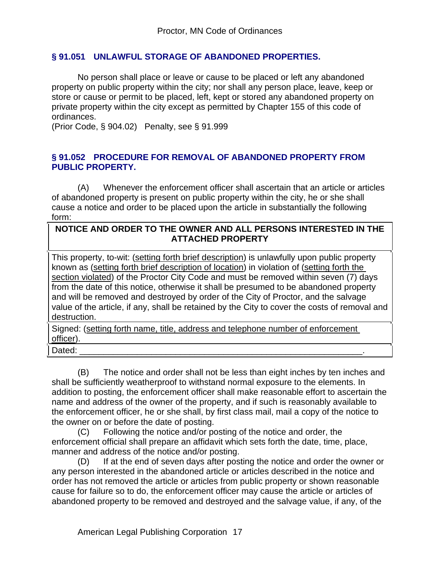#### **§ 91.051 UNLAWFUL STORAGE OF ABANDONED PROPERTIES.**

No person shall place or leave or cause to be placed or left any abandoned property on public property within the city; nor shall any person place, leave, keep or store or cause or permit to be placed, left, kept or stored any abandoned property on private property within the city except as permitted by Chapter 155 of this code of ordinances.

(Prior Code, § 904.02) Penalty, see § 91.999

#### **§ 91.052 PROCEDURE FOR REMOVAL OF ABANDONED PROPERTY FROM PUBLIC PROPERTY.**

(A) Whenever the enforcement officer shall ascertain that an article or articles of abandoned property is present on public property within the city, he or she shall cause a notice and order to be placed upon the article in substantially the following form:

#### **NOTICE AND ORDER TO THE OWNER AND ALL PERSONS INTERESTED IN THE ATTACHED PROPERTY**

This property, to-wit: (setting forth brief description) is unlawfully upon public property known as (setting forth brief description of location) in violation of (setting forth the section violated) of the Proctor City Code and must be removed within seven (7) days from the date of this notice, otherwise it shall be presumed to be abandoned property and will be removed and destroyed by order of the City of Proctor, and the salvage value of the article, if any, shall be retained by the City to cover the costs of removal and destruction.

Signed: (setting forth name, title, address and telephone number of enforcement officer).

Dated: \_\_\_\_\_\_\_\_\_\_\_\_\_\_\_\_\_\_\_\_\_\_\_\_\_\_\_\_\_\_\_\_\_\_\_\_\_\_\_\_\_\_\_\_\_\_\_\_\_\_\_\_\_\_\_\_\_\_\_.

(B) The notice and order shall not be less than eight inches by ten inches and shall be sufficiently weatherproof to withstand normal exposure to the elements. In addition to posting, the enforcement officer shall make reasonable effort to ascertain the name and address of the owner of the property, and if such is reasonably available to the enforcement officer, he or she shall, by first class mail, mail a copy of the notice to the owner on or before the date of posting.

(C) Following the notice and/or posting of the notice and order, the enforcement official shall prepare an affidavit which sets forth the date, time, place, manner and address of the notice and/or posting.

(D) If at the end of seven days after posting the notice and order the owner or any person interested in the abandoned article or articles described in the notice and order has not removed the article or articles from public property or shown reasonable cause for failure so to do, the enforcement officer may cause the article or articles of abandoned property to be removed and destroyed and the salvage value, if any, of the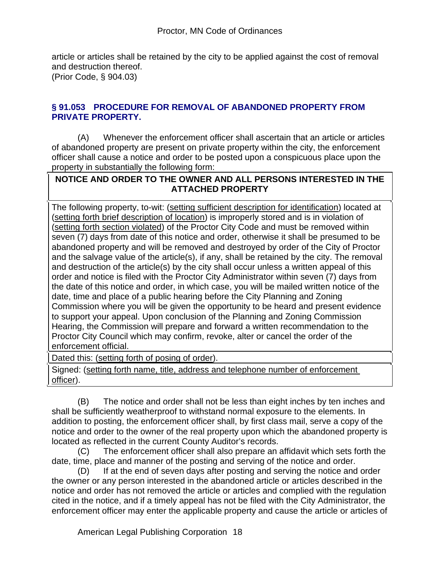article or articles shall be retained by the city to be applied against the cost of removal and destruction thereof.

(Prior Code, § 904.03)

#### **§ 91.053 PROCEDURE FOR REMOVAL OF ABANDONED PROPERTY FROM PRIVATE PROPERTY.**

(A) Whenever the enforcement officer shall ascertain that an article or articles of abandoned property are present on private property within the city, the enforcement officer shall cause a notice and order to be posted upon a conspicuous place upon the property in substantially the following form:

### **NOTICE AND ORDER TO THE OWNER AND ALL PERSONS INTERESTED IN THE ATTACHED PROPERTY**

The following property, to-wit: (setting sufficient description for identification) located at (setting forth brief description of location) is improperly stored and is in violation of (setting forth section violated) of the Proctor City Code and must be removed within seven (7) days from date of this notice and order, otherwise it shall be presumed to be abandoned property and will be removed and destroyed by order of the City of Proctor and the salvage value of the article(s), if any, shall be retained by the city. The removal and destruction of the article(s) by the city shall occur unless a written appeal of this order and notice is filed with the Proctor City Administrator within seven (7) days from the date of this notice and order, in which case, you will be mailed written notice of the date, time and place of a public hearing before the City Planning and Zoning Commission where you will be given the opportunity to be heard and present evidence to support your appeal. Upon conclusion of the Planning and Zoning Commission Hearing, the Commission will prepare and forward a written recommendation to the Proctor City Council which may confirm, revoke, alter or cancel the order of the enforcement official.

Dated this: (setting forth of posing of order).

Signed: (setting forth name, title, address and telephone number of enforcement officer).

(B) The notice and order shall not be less than eight inches by ten inches and shall be sufficiently weatherproof to withstand normal exposure to the elements. In addition to posting, the enforcement officer shall, by first class mail, serve a copy of the notice and order to the owner of the real property upon which the abandoned property is located as reflected in the current County Auditor's records.

(C) The enforcement officer shall also prepare an affidavit which sets forth the date, time, place and manner of the posting and serving of the notice and order.

(D) If at the end of seven days after posting and serving the notice and order the owner or any person interested in the abandoned article or articles described in the notice and order has not removed the article or articles and complied with the regulation cited in the notice, and if a timely appeal has not be filed with the City Administrator, the enforcement officer may enter the applicable property and cause the article or articles of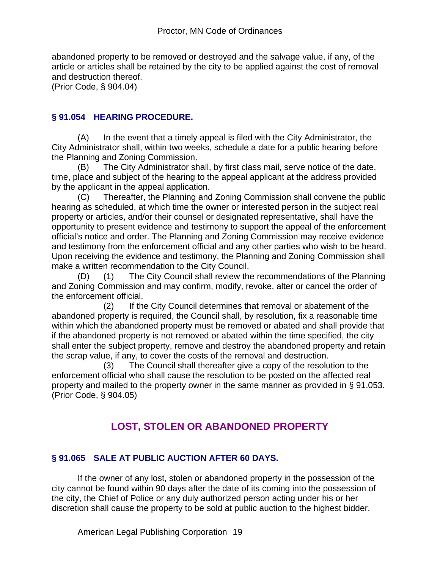abandoned property to be removed or destroyed and the salvage value, if any, of the article or articles shall be retained by the city to be applied against the cost of removal and destruction thereof.

(Prior Code, § 904.04)

#### **§ 91.054 HEARING PROCEDURE.**

(A) In the event that a timely appeal is filed with the City Administrator, the City Administrator shall, within two weeks, schedule a date for a public hearing before the Planning and Zoning Commission.

(B) The City Administrator shall, by first class mail, serve notice of the date, time, place and subject of the hearing to the appeal applicant at the address provided by the applicant in the appeal application.

(C) Thereafter, the Planning and Zoning Commission shall convene the public hearing as scheduled, at which time the owner or interested person in the subject real property or articles, and/or their counsel or designated representative, shall have the opportunity to present evidence and testimony to support the appeal of the enforcement official's notice and order. The Planning and Zoning Commission may receive evidence and testimony from the enforcement official and any other parties who wish to be heard. Upon receiving the evidence and testimony, the Planning and Zoning Commission shall make a written recommendation to the City Council.

(D) (1) The City Council shall review the recommendations of the Planning and Zoning Commission and may confirm, modify, revoke, alter or cancel the order of the enforcement official.

 (2) If the City Council determines that removal or abatement of the abandoned property is required, the Council shall, by resolution, fix a reasonable time within which the abandoned property must be removed or abated and shall provide that if the abandoned property is not removed or abated within the time specified, the city shall enter the subject property, remove and destroy the abandoned property and retain the scrap value, if any, to cover the costs of the removal and destruction.

 (3) The Council shall thereafter give a copy of the resolution to the enforcement official who shall cause the resolution to be posted on the affected real property and mailed to the property owner in the same manner as provided in § 91.053. (Prior Code, § 904.05)

# **LOST, STOLEN OR ABANDONED PROPERTY**

#### **§ 91.065 SALE AT PUBLIC AUCTION AFTER 60 DAYS.**

If the owner of any lost, stolen or abandoned property in the possession of the city cannot be found within 90 days after the date of its coming into the possession of the city, the Chief of Police or any duly authorized person acting under his or her discretion shall cause the property to be sold at public auction to the highest bidder.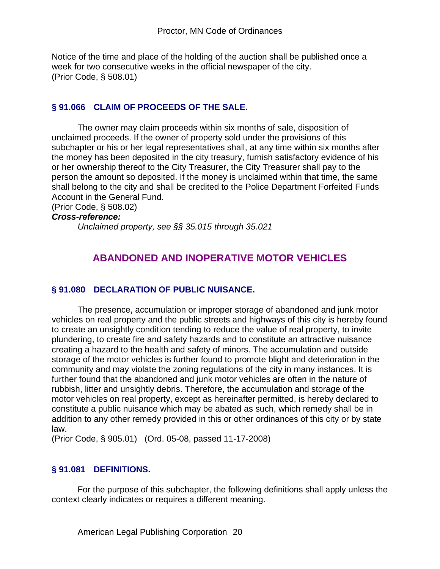Notice of the time and place of the holding of the auction shall be published once a week for two consecutive weeks in the official newspaper of the city. (Prior Code, § 508.01)

#### **§ 91.066 CLAIM OF PROCEEDS OF THE SALE.**

The owner may claim proceeds within six months of sale, disposition of unclaimed proceeds. If the owner of property sold under the provisions of this subchapter or his or her legal representatives shall, at any time within six months after the money has been deposited in the city treasury, furnish satisfactory evidence of his or her ownership thereof to the City Treasurer, the City Treasurer shall pay to the person the amount so deposited. If the money is unclaimed within that time, the same shall belong to the city and shall be credited to the Police Department Forfeited Funds Account in the General Fund.

(Prior Code, § 508.02)

#### *Cross-reference:*

*Unclaimed property, see §§ 35.015 through 35.021*

# **ABANDONED AND INOPERATIVE MOTOR VEHICLES**

#### **§ 91.080 DECLARATION OF PUBLIC NUISANCE.**

The presence, accumulation or improper storage of abandoned and junk motor vehicles on real property and the public streets and highways of this city is hereby found to create an unsightly condition tending to reduce the value of real property, to invite plundering, to create fire and safety hazards and to constitute an attractive nuisance creating a hazard to the health and safety of minors. The accumulation and outside storage of the motor vehicles is further found to promote blight and deterioration in the community and may violate the zoning regulations of the city in many instances. It is further found that the abandoned and junk motor vehicles are often in the nature of rubbish, litter and unsightly debris. Therefore, the accumulation and storage of the motor vehicles on real property, except as hereinafter permitted, is hereby declared to constitute a public nuisance which may be abated as such, which remedy shall be in addition to any other remedy provided in this or other ordinances of this city or by state law.

(Prior Code, § 905.01) (Ord. 05-08, passed 11-17-2008)

#### **§ 91.081 DEFINITIONS.**

For the purpose of this subchapter, the following definitions shall apply unless the context clearly indicates or requires a different meaning.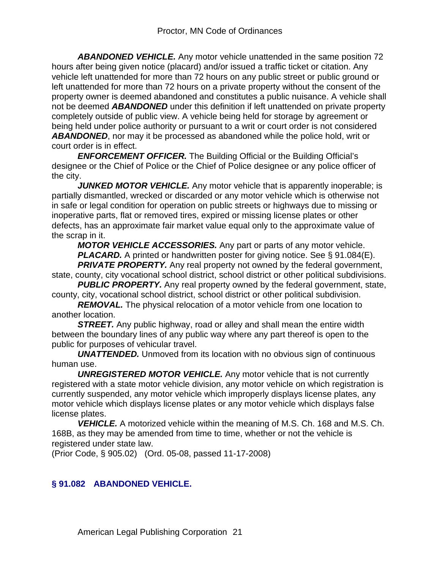*ABANDONED VEHICLE.* Any motor vehicle unattended in the same position 72 hours after being given notice (placard) and/or issued a traffic ticket or citation. Any vehicle left unattended for more than 72 hours on any public street or public ground or left unattended for more than 72 hours on a private property without the consent of the property owner is deemed abandoned and constitutes a public nuisance. A vehicle shall not be deemed *ABANDONED* under this definition if left unattended on private property completely outside of public view. A vehicle being held for storage by agreement or being held under police authority or pursuant to a writ or court order is not considered *ABANDONED*, nor may it be processed as abandoned while the police hold, writ or court order is in effect.

*ENFORCEMENT OFFICER.* The Building Official or the Building Official's designee or the Chief of Police or the Chief of Police designee or any police officer of the city.

*JUNKED MOTOR VEHICLE.* Any motor vehicle that is apparently inoperable; is partially dismantled, wrecked or discarded or any motor vehicle which is otherwise not in safe or legal condition for operation on public streets or highways due to missing or inoperative parts, flat or removed tires, expired or missing license plates or other defects, has an approximate fair market value equal only to the approximate value of the scrap in it.

*MOTOR VEHICLE ACCESSORIES.* Any part or parts of any motor vehicle. *PLACARD.* A printed or handwritten poster for giving notice. See § 91.084(E). **PRIVATE PROPERTY.** Any real property not owned by the federal government,

state, county, city vocational school district, school district or other political subdivisions.

**PUBLIC PROPERTY.** Any real property owned by the federal government, state, county, city, vocational school district, school district or other political subdivision.

*REMOVAL.* The physical relocation of a motor vehicle from one location to another location.

**STREET.** Any public highway, road or alley and shall mean the entire width between the boundary lines of any public way where any part thereof is open to the public for purposes of vehicular travel.

*UNATTENDED.* Unmoved from its location with no obvious sign of continuous human use.

*UNREGISTERED MOTOR VEHICLE.* Any motor vehicle that is not currently registered with a state motor vehicle division, any motor vehicle on which registration is currently suspended, any motor vehicle which improperly displays license plates, any motor vehicle which displays license plates or any motor vehicle which displays false license plates.

*VEHICLE.* A motorized vehicle within the meaning of M.S. Ch. 168 and M.S. Ch. 168B, as they may be amended from time to time, whether or not the vehicle is registered under state law.

(Prior Code, § 905.02) (Ord. 05-08, passed 11-17-2008)

# **§ 91.082 ABANDONED VEHICLE.**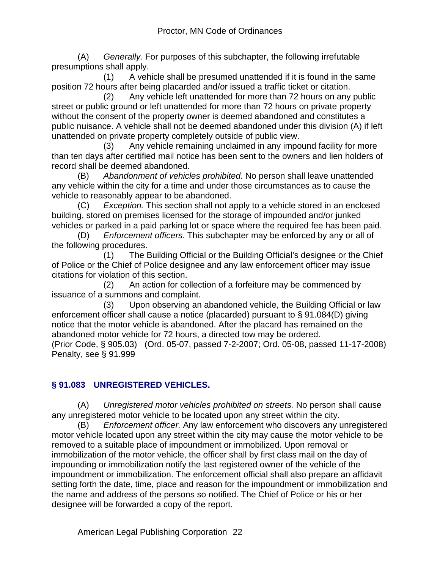(A) *Generally.* For purposes of this subchapter, the following irrefutable presumptions shall apply.

 (1) A vehicle shall be presumed unattended if it is found in the same position 72 hours after being placarded and/or issued a traffic ticket or citation.

 (2) Any vehicle left unattended for more than 72 hours on any public street or public ground or left unattended for more than 72 hours on private property without the consent of the property owner is deemed abandoned and constitutes a public nuisance. A vehicle shall not be deemed abandoned under this division (A) if left unattended on private property completely outside of public view.

 (3) Any vehicle remaining unclaimed in any impound facility for more than ten days after certified mail notice has been sent to the owners and lien holders of record shall be deemed abandoned.

(B) *Abandonment of vehicles prohibited.* No person shall leave unattended any vehicle within the city for a time and under those circumstances as to cause the vehicle to reasonably appear to be abandoned.

(C) *Exception.* This section shall not apply to a vehicle stored in an enclosed building, stored on premises licensed for the storage of impounded and/or junked vehicles or parked in a paid parking lot or space where the required fee has been paid.

(D) *Enforcement officers.* This subchapter may be enforced by any or all of the following procedures.

 (1) The Building Official or the Building Official's designee or the Chief of Police or the Chief of Police designee and any law enforcement officer may issue citations for violation of this section.

 (2) An action for collection of a forfeiture may be commenced by issuance of a summons and complaint.

 (3) Upon observing an abandoned vehicle, the Building Official or law enforcement officer shall cause a notice (placarded) pursuant to § 91.084(D) giving notice that the motor vehicle is abandoned. After the placard has remained on the abandoned motor vehicle for 72 hours, a directed tow may be ordered.

(Prior Code, § 905.03) (Ord. 05-07, passed 7-2-2007; Ord. 05-08, passed 11-17-2008) Penalty, see § 91.999

# **§ 91.083 UNREGISTERED VEHICLES.**

(A) *Unregistered motor vehicles prohibited on streets.* No person shall cause any unregistered motor vehicle to be located upon any street within the city.

(B) *Enforcement officer.* Any law enforcement who discovers any unregistered motor vehicle located upon any street within the city may cause the motor vehicle to be removed to a suitable place of impoundment or immobilized. Upon removal or immobilization of the motor vehicle, the officer shall by first class mail on the day of impounding or immobilization notify the last registered owner of the vehicle of the impoundment or immobilization. The enforcement official shall also prepare an affidavit setting forth the date, time, place and reason for the impoundment or immobilization and the name and address of the persons so notified. The Chief of Police or his or her designee will be forwarded a copy of the report.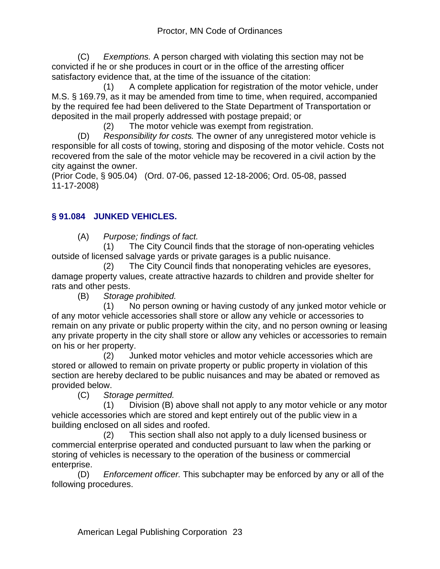(C) *Exemptions.* A person charged with violating this section may not be convicted if he or she produces in court or in the office of the arresting officer satisfactory evidence that, at the time of the issuance of the citation:

 (1) A complete application for registration of the motor vehicle, under M.S. § 169.79, as it may be amended from time to time, when required, accompanied by the required fee had been delivered to the State Department of Transportation or deposited in the mail properly addressed with postage prepaid; or

(2) The motor vehicle was exempt from registration.

(D) *Responsibility for costs.* The owner of any unregistered motor vehicle is responsible for all costs of towing, storing and disposing of the motor vehicle. Costs not recovered from the sale of the motor vehicle may be recovered in a civil action by the city against the owner.

(Prior Code, § 905.04) (Ord. 07-06, passed 12-18-2006; Ord. 05-08, passed 11-17-2008)

# **§ 91.084 JUNKED VEHICLES.**

(A) *Purpose; findings of fact.*

 (1) The City Council finds that the storage of non-operating vehicles outside of licensed salvage yards or private garages is a public nuisance.

 (2) The City Council finds that nonoperating vehicles are eyesores, damage property values, create attractive hazards to children and provide shelter for rats and other pests.

(B) *Storage prohibited.*

 (1) No person owning or having custody of any junked motor vehicle or of any motor vehicle accessories shall store or allow any vehicle or accessories to remain on any private or public property within the city, and no person owning or leasing any private property in the city shall store or allow any vehicles or accessories to remain on his or her property.

 (2) Junked motor vehicles and motor vehicle accessories which are stored or allowed to remain on private property or public property in violation of this section are hereby declared to be public nuisances and may be abated or removed as provided below.

(C) *Storage permitted.*

 (1) Division (B) above shall not apply to any motor vehicle or any motor vehicle accessories which are stored and kept entirely out of the public view in a building enclosed on all sides and roofed.

 (2) This section shall also not apply to a duly licensed business or commercial enterprise operated and conducted pursuant to law when the parking or storing of vehicles is necessary to the operation of the business or commercial enterprise.

(D) *Enforcement officer.* This subchapter may be enforced by any or all of the following procedures.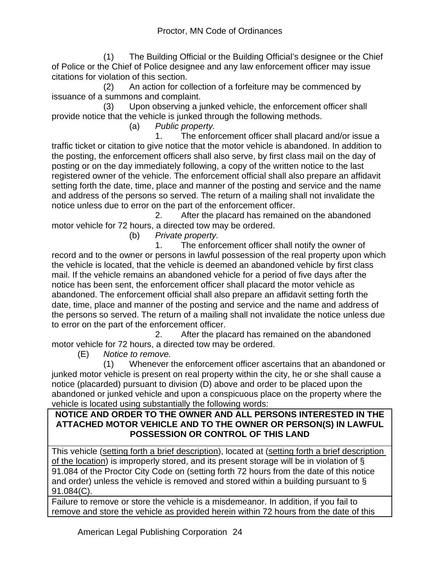(1) The Building Official or the Building Official's designee or the Chief of Police or the Chief of Police designee and any law enforcement officer may issue citations for violation of this section.

 (2) An action for collection of a forfeiture may be commenced by issuance of a summons and complaint.

 (3) Upon observing a junked vehicle, the enforcement officer shall provide notice that the vehicle is junked through the following methods.

(a) *Public property.*

 1. The enforcement officer shall placard and/or issue a traffic ticket or citation to give notice that the motor vehicle is abandoned. In addition to the posting, the enforcement officers shall also serve, by first class mail on the day of posting or on the day immediately following, a copy of the written notice to the last registered owner of the vehicle. The enforcement official shall also prepare an affidavit setting forth the date, time, place and manner of the posting and service and the name and address of the persons so served. The return of a mailing shall not invalidate the notice unless due to error on the part of the enforcement officer.

 2. After the placard has remained on the abandoned motor vehicle for 72 hours, a directed tow may be ordered.

(b) *Private property.*

 1. The enforcement officer shall notify the owner of record and to the owner or persons in lawful possession of the real property upon which the vehicle is located, that the vehicle is deemed an abandoned vehicle by first class mail. If the vehicle remains an abandoned vehicle for a period of five days after the notice has been sent, the enforcement officer shall placard the motor vehicle as abandoned. The enforcement official shall also prepare an affidavit setting forth the date, time, place and manner of the posting and service and the name and address of the persons so served. The return of a mailing shall not invalidate the notice unless due to error on the part of the enforcement officer.

 2. After the placard has remained on the abandoned motor vehicle for 72 hours, a directed tow may be ordered.

(E) *Notice to remove.*

 (1) Whenever the enforcement officer ascertains that an abandoned or junked motor vehicle is present on real property within the city, he or she shall cause a notice (placarded) pursuant to division (D) above and order to be placed upon the abandoned or junked vehicle and upon a conspicuous place on the property where the vehicle is located using substantially the following words:

#### **NOTICE AND ORDER TO THE OWNER AND ALL PERSONS INTERESTED IN THE ATTACHED MOTOR VEHICLE AND TO THE OWNER OR PERSON(S) IN LAWFUL POSSESSION OR CONTROL OF THIS LAND**

This vehicle (setting forth a brief description), located at (setting forth a brief description of the location) is improperly stored, and its present storage will be in violation of § 91.084 of the Proctor City Code on (setting forth 72 hours from the date of this notice and order) unless the vehicle is removed and stored within a building pursuant to § 91.084(C).

Failure to remove or store the vehicle is a misdemeanor. In addition, if you fail to remove and store the vehicle as provided herein within 72 hours from the date of this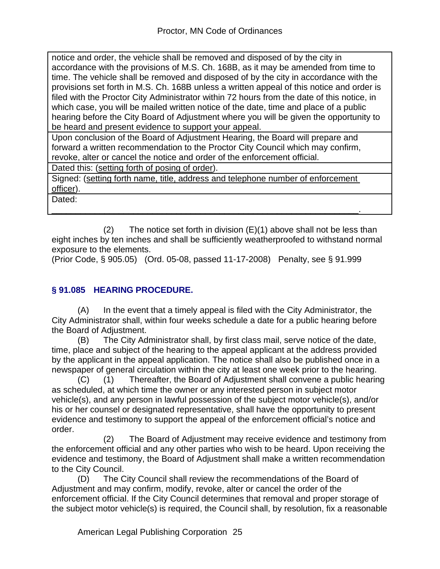notice and order, the vehicle shall be removed and disposed of by the city in accordance with the provisions of M.S. Ch. 168B, as it may be amended from time to time. The vehicle shall be removed and disposed of by the city in accordance with the provisions set forth in M.S. Ch. 168B unless a written appeal of this notice and order is filed with the Proctor City Administrator within 72 hours from the date of this notice, in which case, you will be mailed written notice of the date, time and place of a public hearing before the City Board of Adjustment where you will be given the opportunity to be heard and present evidence to support your appeal.

Upon conclusion of the Board of Adjustment Hearing, the Board will prepare and forward a written recommendation to the Proctor City Council which may confirm, revoke, alter or cancel the notice and order of the enforcement official.

Dated this: (setting forth of posing of order).

Signed: (setting forth name, title, address and telephone number of enforcement officer).

\_\_\_\_\_\_\_\_\_\_\_\_\_\_\_\_\_\_\_\_\_\_\_\_\_\_\_\_\_\_\_\_\_\_\_\_\_\_\_\_\_\_\_\_\_\_\_\_\_\_\_\_\_\_\_\_\_\_\_\_\_\_\_\_.

Dated:

(2) The notice set forth in division  $(E)(1)$  above shall not be less than eight inches by ten inches and shall be sufficiently weatherproofed to withstand normal exposure to the elements.

(Prior Code, § 905.05) (Ord. 05-08, passed 11-17-2008) Penalty, see § 91.999

### **§ 91.085 HEARING PROCEDURE.**

(A) In the event that a timely appeal is filed with the City Administrator, the City Administrator shall, within four weeks schedule a date for a public hearing before the Board of Adjustment.

(B) The City Administrator shall, by first class mail, serve notice of the date, time, place and subject of the hearing to the appeal applicant at the address provided by the applicant in the appeal application. The notice shall also be published once in a newspaper of general circulation within the city at least one week prior to the hearing.

(C) (1) Thereafter, the Board of Adjustment shall convene a public hearing as scheduled, at which time the owner or any interested person in subject motor vehicle(s), and any person in lawful possession of the subject motor vehicle(s), and/or his or her counsel or designated representative, shall have the opportunity to present evidence and testimony to support the appeal of the enforcement official's notice and order.

 (2) The Board of Adjustment may receive evidence and testimony from the enforcement official and any other parties who wish to be heard. Upon receiving the evidence and testimony, the Board of Adjustment shall make a written recommendation to the City Council.

(D) The City Council shall review the recommendations of the Board of Adjustment and may confirm, modify, revoke, alter or cancel the order of the enforcement official. If the City Council determines that removal and proper storage of the subject motor vehicle(s) is required, the Council shall, by resolution, fix a reasonable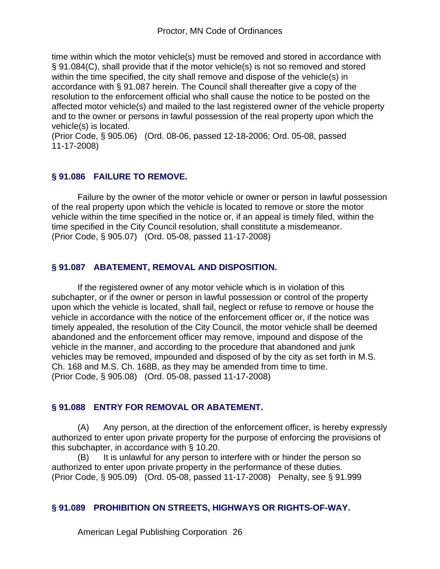time within which the motor vehicle(s) must be removed and stored in accordance with § 91.084(C), shall provide that if the motor vehicle(s) is not so removed and stored within the time specified, the city shall remove and dispose of the vehicle(s) in accordance with § 91.087 herein. The Council shall thereafter give a copy of the resolution to the enforcement official who shall cause the notice to be posted on the affected motor vehicle(s) and mailed to the last registered owner of the vehicle property and to the owner or persons in lawful possession of the real property upon which the vehicle(s) is located.

(Prior Code, § 905.06) (Ord. 08-06, passed 12-18-2006; Ord. 05-08, passed 11-17-2008)

#### **§ 91.086 FAILURE TO REMOVE.**

Failure by the owner of the motor vehicle or owner or person in lawful possession of the real property upon which the vehicle is located to remove or store the motor vehicle within the time specified in the notice or, if an appeal is timely filed, within the time specified in the City Council resolution, shall constitute a misdemeanor. (Prior Code, § 905.07) (Ord. 05-08, passed 11-17-2008)

#### **§ 91.087 ABATEMENT, REMOVAL AND DISPOSITION.**

If the registered owner of any motor vehicle which is in violation of this subchapter, or if the owner or person in lawful possession or control of the property upon which the vehicle is located, shall fail, neglect or refuse to remove or house the vehicle in accordance with the notice of the enforcement officer or, if the notice was timely appealed, the resolution of the City Council, the motor vehicle shall be deemed abandoned and the enforcement officer may remove, impound and dispose of the vehicle in the manner, and according to the procedure that abandoned and junk vehicles may be removed, impounded and disposed of by the city as set forth in M.S. Ch. 168 and M.S. Ch. 168B, as they may be amended from time to time. (Prior Code, § 905.08) (Ord. 05-08, passed 11-17-2008)

#### **§ 91.088 ENTRY FOR REMOVAL OR ABATEMENT.**

(A) Any person, at the direction of the enforcement officer, is hereby expressly authorized to enter upon private property for the purpose of enforcing the provisions of this subchapter, in accordance with § 10.20.

(B) It is unlawful for any person to interfere with or hinder the person so authorized to enter upon private property in the performance of these duties. (Prior Code, § 905.09) (Ord. 05-08, passed 11-17-2008) Penalty, see § 91.999

#### **§ 91.089 PROHIBITION ON STREETS, HIGHWAYS OR RIGHTS-OF-WAY.**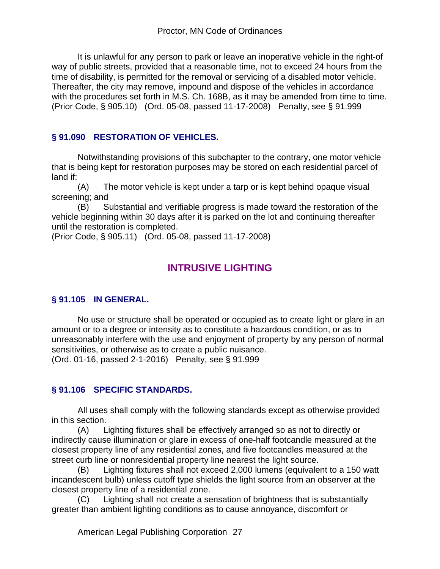It is unlawful for any person to park or leave an inoperative vehicle in the right-of way of public streets, provided that a reasonable time, not to exceed 24 hours from the time of disability, is permitted for the removal or servicing of a disabled motor vehicle. Thereafter, the city may remove, impound and dispose of the vehicles in accordance with the procedures set forth in M.S. Ch. 168B, as it may be amended from time to time. (Prior Code, § 905.10) (Ord. 05-08, passed 11-17-2008) Penalty, see § 91.999

# **§ 91.090 RESTORATION OF VEHICLES.**

Notwithstanding provisions of this subchapter to the contrary, one motor vehicle that is being kept for restoration purposes may be stored on each residential parcel of land if:

(A) The motor vehicle is kept under a tarp or is kept behind opaque visual screening; and

(B) Substantial and verifiable progress is made toward the restoration of the vehicle beginning within 30 days after it is parked on the lot and continuing thereafter until the restoration is completed.

(Prior Code, § 905.11) (Ord. 05-08, passed 11-17-2008)

# **INTRUSIVE LIGHTING**

# **§ 91.105 IN GENERAL.**

No use or structure shall be operated or occupied as to create light or glare in an amount or to a degree or intensity as to constitute a hazardous condition, or as to unreasonably interfere with the use and enjoyment of property by any person of normal sensitivities, or otherwise as to create a public nuisance. (Ord. 01-16, passed 2-1-2016) Penalty, see § 91.999

# **§ 91.106 SPECIFIC STANDARDS.**

All uses shall comply with the following standards except as otherwise provided in this section.

(A) Lighting fixtures shall be effectively arranged so as not to directly or indirectly cause illumination or glare in excess of one-half footcandle measured at the closest property line of any residential zones, and five footcandles measured at the street curb line or nonresidential property line nearest the light source.

(B) Lighting fixtures shall not exceed 2,000 lumens (equivalent to a 150 watt incandescent bulb) unless cutoff type shields the light source from an observer at the closest property line of a residential zone.

(C) Lighting shall not create a sensation of brightness that is substantially greater than ambient lighting conditions as to cause annoyance, discomfort or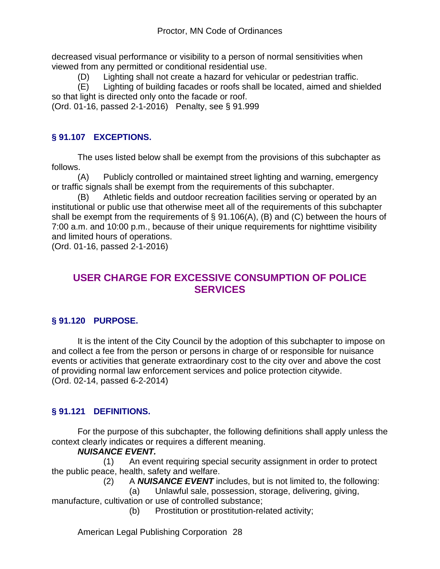decreased visual performance or visibility to a person of normal sensitivities when viewed from any permitted or conditional residential use.

(D) Lighting shall not create a hazard for vehicular or pedestrian traffic.

(E) Lighting of building facades or roofs shall be located, aimed and shielded so that light is directed only onto the facade or roof.

(Ord. 01-16, passed 2-1-2016) Penalty, see § 91.999

# **§ 91.107 EXCEPTIONS.**

The uses listed below shall be exempt from the provisions of this subchapter as follows.

(A) Publicly controlled or maintained street lighting and warning, emergency or traffic signals shall be exempt from the requirements of this subchapter.

(B) Athletic fields and outdoor recreation facilities serving or operated by an institutional or public use that otherwise meet all of the requirements of this subchapter shall be exempt from the requirements of  $\S$  91.106(A), (B) and (C) between the hours of 7:00 a.m. and 10:00 p.m., because of their unique requirements for nighttime visibility and limited hours of operations.

(Ord. 01-16, passed 2-1-2016)

# **USER CHARGE FOR EXCESSIVE CONSUMPTION OF POLICE SERVICES**

# **§ 91.120 PURPOSE.**

It is the intent of the City Council by the adoption of this subchapter to impose on and collect a fee from the person or persons in charge of or responsible for nuisance events or activities that generate extraordinary cost to the city over and above the cost of providing normal law enforcement services and police protection citywide. (Ord. 02-14, passed 6-2-2014)

# **§ 91.121 DEFINITIONS.**

For the purpose of this subchapter, the following definitions shall apply unless the context clearly indicates or requires a different meaning.

#### *NUISANCE EVENT.*

 (1) An event requiring special security assignment in order to protect the public peace, health, safety and welfare.

(2) A *NUISANCE EVENT* includes, but is not limited to, the following:

(a) Unlawful sale, possession, storage, delivering, giving,

manufacture, cultivation or use of controlled substance;

(b) Prostitution or prostitution-related activity;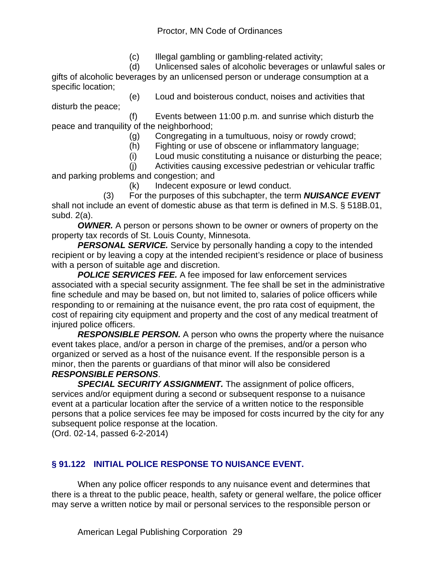#### Proctor, MN Code of Ordinances

(c) Illegal gambling or gambling-related activity;

 (d) Unlicensed sales of alcoholic beverages or unlawful sales or gifts of alcoholic beverages by an unlicensed person or underage consumption at a specific location;

 (e) Loud and boisterous conduct, noises and activities that disturb the peace; (f) Events between 11:00 p.m. and sunrise which disturb the

peace and tranquility of the neighborhood;

(g) Congregating in a tumultuous, noisy or rowdy crowd;

- (h) Fighting or use of obscene or inflammatory language;
- (i) Loud music constituting a nuisance or disturbing the peace;

 (j) Activities causing excessive pedestrian or vehicular traffic and parking problems and congestion; and

(k) Indecent exposure or lewd conduct.

 (3) For the purposes of this subchapter, the term *NUISANCE EVENT* shall not include an event of domestic abuse as that term is defined in M.S. § 518B.01, subd. 2(a).

*OWNER.* A person or persons shown to be owner or owners of property on the property tax records of St. Louis County, Minnesota.

**PERSONAL SERVICE.** Service by personally handing a copy to the intended recipient or by leaving a copy at the intended recipient's residence or place of business with a person of suitable age and discretion.

*POLICE SERVICES FEE.* A fee imposed for law enforcement services associated with a special security assignment. The fee shall be set in the administrative fine schedule and may be based on, but not limited to, salaries of police officers while responding to or remaining at the nuisance event, the pro rata cost of equipment, the cost of repairing city equipment and property and the cost of any medical treatment of injured police officers.

*RESPONSIBLE PERSON.* A person who owns the property where the nuisance event takes place, and/or a person in charge of the premises, and/or a person who organized or served as a host of the nuisance event. If the responsible person is a minor, then the parents or guardians of that minor will also be considered

#### *RESPONSIBLE PERSONS*.

**SPECIAL SECURITY ASSIGNMENT.** The assignment of police officers, services and/or equipment during a second or subsequent response to a nuisance event at a particular location after the service of a written notice to the responsible persons that a police services fee may be imposed for costs incurred by the city for any subsequent police response at the location.

(Ord. 02-14, passed 6-2-2014)

# **§ 91.122 INITIAL POLICE RESPONSE TO NUISANCE EVENT.**

When any police officer responds to any nuisance event and determines that there is a threat to the public peace, health, safety or general welfare, the police officer may serve a written notice by mail or personal services to the responsible person or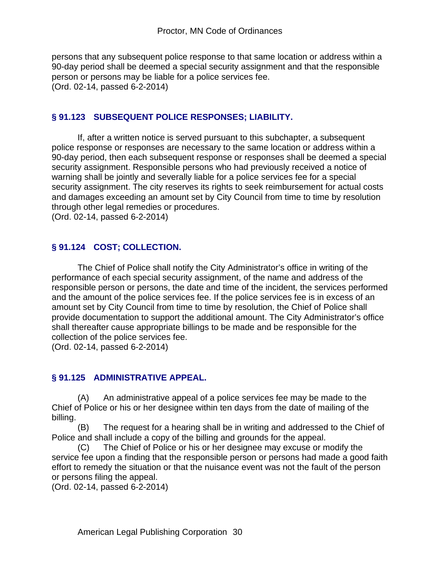persons that any subsequent police response to that same location or address within a 90-day period shall be deemed a special security assignment and that the responsible person or persons may be liable for a police services fee. (Ord. 02-14, passed 6-2-2014)

#### **§ 91.123 SUBSEQUENT POLICE RESPONSES; LIABILITY.**

If, after a written notice is served pursuant to this subchapter, a subsequent police response or responses are necessary to the same location or address within a 90-day period, then each subsequent response or responses shall be deemed a special security assignment. Responsible persons who had previously received a notice of warning shall be jointly and severally liable for a police services fee for a special security assignment. The city reserves its rights to seek reimbursement for actual costs and damages exceeding an amount set by City Council from time to time by resolution through other legal remedies or procedures.

(Ord. 02-14, passed 6-2-2014)

#### **§ 91.124 COST; COLLECTION.**

The Chief of Police shall notify the City Administrator's office in writing of the performance of each special security assignment, of the name and address of the responsible person or persons, the date and time of the incident, the services performed and the amount of the police services fee. If the police services fee is in excess of an amount set by City Council from time to time by resolution, the Chief of Police shall provide documentation to support the additional amount. The City Administrator's office shall thereafter cause appropriate billings to be made and be responsible for the collection of the police services fee.

(Ord. 02-14, passed 6-2-2014)

#### **§ 91.125 ADMINISTRATIVE APPEAL.**

(A) An administrative appeal of a police services fee may be made to the Chief of Police or his or her designee within ten days from the date of mailing of the billing.

(B) The request for a hearing shall be in writing and addressed to the Chief of Police and shall include a copy of the billing and grounds for the appeal.

(C) The Chief of Police or his or her designee may excuse or modify the service fee upon a finding that the responsible person or persons had made a good faith effort to remedy the situation or that the nuisance event was not the fault of the person or persons filing the appeal.

(Ord. 02-14, passed 6-2-2014)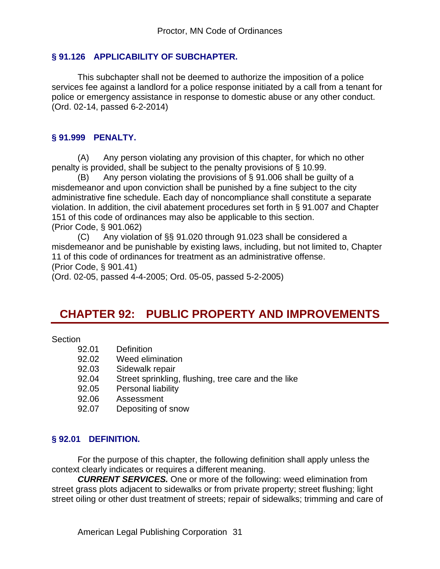#### **§ 91.126 APPLICABILITY OF SUBCHAPTER.**

 This subchapter shall not be deemed to authorize the imposition of a police services fee against a landlord for a police response initiated by a call from a tenant for police or emergency assistance in response to domestic abuse or any other conduct. (Ord. 02-14, passed 6-2-2014)

#### **§ 91.999 PENALTY.**

(A) Any person violating any provision of this chapter, for which no other penalty is provided, shall be subject to the penalty provisions of § 10.99.

(B) Any person violating the provisions of  $\S$  91.006 shall be quilty of a misdemeanor and upon conviction shall be punished by a fine subject to the city administrative fine schedule. Each day of noncompliance shall constitute a separate violation. In addition, the civil abatement procedures set forth in § 91.007 and Chapter 151 of this code of ordinances may also be applicable to this section. (Prior Code, § 901.062)

(C) Any violation of §§ 91.020 through 91.023 shall be considered a misdemeanor and be punishable by existing laws, including, but not limited to, Chapter 11 of this code of ordinances for treatment as an administrative offense. (Prior Code, § 901.41)

(Ord. 02-05, passed 4-4-2005; Ord. 05-05, passed 5-2-2005)

# **CHAPTER 92: PUBLIC PROPERTY AND IMPROVEMENTS**

#### Section

- 92.01 Definition
- 92.02 Weed elimination
- 92.03 Sidewalk repair
- 92.04 Street sprinkling, flushing, tree care and the like
- 92.05 Personal liability
- 92.06 Assessment
- 92.07 Depositing of snow

#### **§ 92.01 DEFINITION.**

For the purpose of this chapter, the following definition shall apply unless the context clearly indicates or requires a different meaning.

*CURRENT SERVICES.* One or more of the following: weed elimination from street grass plots adjacent to sidewalks or from private property; street flushing; light street oiling or other dust treatment of streets; repair of sidewalks; trimming and care of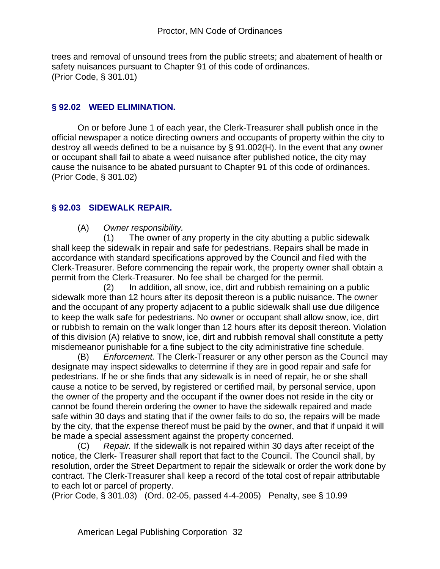trees and removal of unsound trees from the public streets; and abatement of health or safety nuisances pursuant to Chapter 91 of this code of ordinances. (Prior Code, § 301.01)

#### **§ 92.02 WEED ELIMINATION.**

On or before June 1 of each year, the Clerk-Treasurer shall publish once in the official newspaper a notice directing owners and occupants of property within the city to destroy all weeds defined to be a nuisance by § 91.002(H). In the event that any owner or occupant shall fail to abate a weed nuisance after published notice, the city may cause the nuisance to be abated pursuant to Chapter 91 of this code of ordinances. (Prior Code, § 301.02)

#### **§ 92.03 SIDEWALK REPAIR.**

#### (A) *Owner responsibility.*

 (1) The owner of any property in the city abutting a public sidewalk shall keep the sidewalk in repair and safe for pedestrians. Repairs shall be made in accordance with standard specifications approved by the Council and filed with the Clerk-Treasurer. Before commencing the repair work, the property owner shall obtain a permit from the Clerk-Treasurer. No fee shall be charged for the permit.

 (2) In addition, all snow, ice, dirt and rubbish remaining on a public sidewalk more than 12 hours after its deposit thereon is a public nuisance. The owner and the occupant of any property adjacent to a public sidewalk shall use due diligence to keep the walk safe for pedestrians. No owner or occupant shall allow snow, ice, dirt or rubbish to remain on the walk longer than 12 hours after its deposit thereon. Violation of this division (A) relative to snow, ice, dirt and rubbish removal shall constitute a petty misdemeanor punishable for a fine subject to the city administrative fine schedule.

(B) *Enforcement.* The Clerk-Treasurer or any other person as the Council may designate may inspect sidewalks to determine if they are in good repair and safe for pedestrians. If he or she finds that any sidewalk is in need of repair, he or she shall cause a notice to be served, by registered or certified mail, by personal service, upon the owner of the property and the occupant if the owner does not reside in the city or cannot be found therein ordering the owner to have the sidewalk repaired and made safe within 30 days and stating that if the owner fails to do so, the repairs will be made by the city, that the expense thereof must be paid by the owner, and that if unpaid it will be made a special assessment against the property concerned.

(C) *Repair.* If the sidewalk is not repaired within 30 days after receipt of the notice, the Clerk- Treasurer shall report that fact to the Council. The Council shall, by resolution, order the Street Department to repair the sidewalk or order the work done by contract. The Clerk-Treasurer shall keep a record of the total cost of repair attributable to each lot or parcel of property.

(Prior Code, § 301.03) (Ord. 02-05, passed 4-4-2005) Penalty, see § 10.99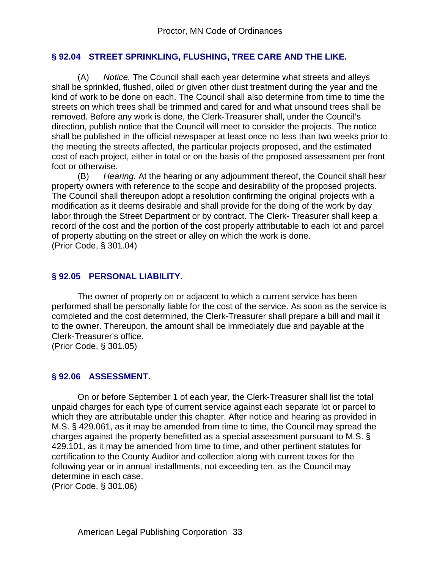#### **§ 92.04 STREET SPRINKLING, FLUSHING, TREE CARE AND THE LIKE.**

(A) *Notice.* The Council shall each year determine what streets and alleys shall be sprinkled, flushed, oiled or given other dust treatment during the year and the kind of work to be done on each. The Council shall also determine from time to time the streets on which trees shall be trimmed and cared for and what unsound trees shall be removed. Before any work is done, the Clerk-Treasurer shall, under the Council's direction, publish notice that the Council will meet to consider the projects. The notice shall be published in the official newspaper at least once no less than two weeks prior to the meeting the streets affected, the particular projects proposed, and the estimated cost of each project, either in total or on the basis of the proposed assessment per front foot or otherwise.

(B) *Hearing.* At the hearing or any adjournment thereof, the Council shall hear property owners with reference to the scope and desirability of the proposed projects. The Council shall thereupon adopt a resolution confirming the original projects with a modification as it deems desirable and shall provide for the doing of the work by day labor through the Street Department or by contract. The Clerk- Treasurer shall keep a record of the cost and the portion of the cost properly attributable to each lot and parcel of property abutting on the street or alley on which the work is done. (Prior Code, § 301.04)

#### **§ 92.05 PERSONAL LIABILITY.**

The owner of property on or adjacent to which a current service has been performed shall be personally liable for the cost of the service. As soon as the service is completed and the cost determined, the Clerk-Treasurer shall prepare a bill and mail it to the owner. Thereupon, the amount shall be immediately due and payable at the Clerk-Treasurer's office.

(Prior Code, § 301.05)

#### **§ 92.06 ASSESSMENT.**

On or before September 1 of each year, the Clerk-Treasurer shall list the total unpaid charges for each type of current service against each separate lot or parcel to which they are attributable under this chapter. After notice and hearing as provided in M.S. § 429.061, as it may be amended from time to time, the Council may spread the charges against the property benefitted as a special assessment pursuant to M.S. § 429.101, as it may be amended from time to time, and other pertinent statutes for certification to the County Auditor and collection along with current taxes for the following year or in annual installments, not exceeding ten, as the Council may determine in each case.

(Prior Code, § 301.06)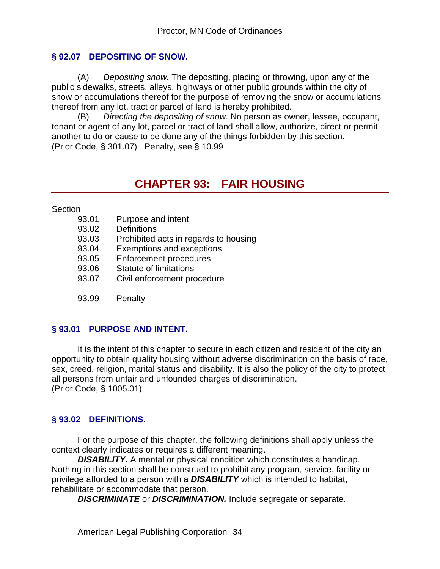#### **§ 92.07 DEPOSITING OF SNOW.**

(A) *Depositing snow.* The depositing, placing or throwing, upon any of the public sidewalks, streets, alleys, highways or other public grounds within the city of snow or accumulations thereof for the purpose of removing the snow or accumulations thereof from any lot, tract or parcel of land is hereby prohibited.

(B) *Directing the depositing of snow.* No person as owner, lessee, occupant, tenant or agent of any lot, parcel or tract of land shall allow, authorize, direct or permit another to do or cause to be done any of the things forbidden by this section. (Prior Code, § 301.07) Penalty, see § 10.99

# **CHAPTER 93: FAIR HOUSING**

Section

- 93.01 Purpose and intent
- 93.02 Definitions
- 93.03 Prohibited acts in regards to housing
- 93.04 Exemptions and exceptions
- 93.05 Enforcement procedures
- 93.06 Statute of limitations
- 93.07 Civil enforcement procedure
- 93.99 Penalty

#### **§ 93.01 PURPOSE AND INTENT.**

It is the intent of this chapter to secure in each citizen and resident of the city an opportunity to obtain quality housing without adverse discrimination on the basis of race, sex, creed, religion, marital status and disability. It is also the policy of the city to protect all persons from unfair and unfounded charges of discrimination. (Prior Code, § 1005.01)

#### **§ 93.02 DEFINITIONS.**

For the purpose of this chapter, the following definitions shall apply unless the context clearly indicates or requires a different meaning.

**DISABILITY.** A mental or physical condition which constitutes a handicap. Nothing in this section shall be construed to prohibit any program, service, facility or privilege afforded to a person with a *DISABILITY* which is intended to habitat, rehabilitate or accommodate that person.

*DISCRIMINATE* or *DISCRIMINATION.* Include segregate or separate.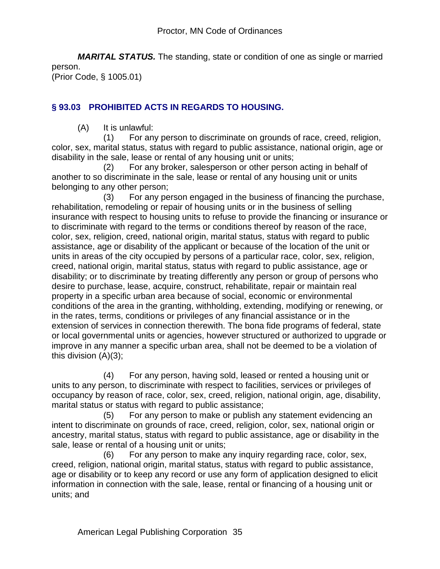*MARITAL STATUS.* The standing, state or condition of one as single or married person. (Prior Code, § 1005.01)

# **§ 93.03 PROHIBITED ACTS IN REGARDS TO HOUSING.**

(A) It is unlawful:

 (1) For any person to discriminate on grounds of race, creed, religion, color, sex, marital status, status with regard to public assistance, national origin, age or disability in the sale, lease or rental of any housing unit or units;

 (2) For any broker, salesperson or other person acting in behalf of another to so discriminate in the sale, lease or rental of any housing unit or units belonging to any other person;

 (3) For any person engaged in the business of financing the purchase, rehabilitation, remodeling or repair of housing units or in the business of selling insurance with respect to housing units to refuse to provide the financing or insurance or to discriminate with regard to the terms or conditions thereof by reason of the race, color, sex, religion, creed, national origin, marital status, status with regard to public assistance, age or disability of the applicant or because of the location of the unit or units in areas of the city occupied by persons of a particular race, color, sex, religion, creed, national origin, marital status, status with regard to public assistance, age or disability; or to discriminate by treating differently any person or group of persons who desire to purchase, lease, acquire, construct, rehabilitate, repair or maintain real property in a specific urban area because of social, economic or environmental conditions of the area in the granting, withholding, extending, modifying or renewing, or in the rates, terms, conditions or privileges of any financial assistance or in the extension of services in connection therewith. The bona fide programs of federal, state or local governmental units or agencies, however structured or authorized to upgrade or improve in any manner a specific urban area, shall not be deemed to be a violation of this division (A)(3);

 (4) For any person, having sold, leased or rented a housing unit or units to any person, to discriminate with respect to facilities, services or privileges of occupancy by reason of race, color, sex, creed, religion, national origin, age, disability, marital status or status with regard to public assistance;

 (5) For any person to make or publish any statement evidencing an intent to discriminate on grounds of race, creed, religion, color, sex, national origin or ancestry, marital status, status with regard to public assistance, age or disability in the sale, lease or rental of a housing unit or units;

 (6) For any person to make any inquiry regarding race, color, sex, creed, religion, national origin, marital status, status with regard to public assistance, age or disability or to keep any record or use any form of application designed to elicit information in connection with the sale, lease, rental or financing of a housing unit or units; and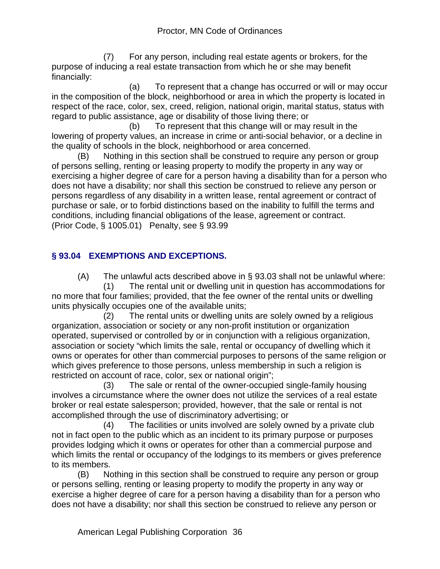(7) For any person, including real estate agents or brokers, for the purpose of inducing a real estate transaction from which he or she may benefit financially:

 (a) To represent that a change has occurred or will or may occur in the composition of the block, neighborhood or area in which the property is located in respect of the race, color, sex, creed, religion, national origin, marital status, status with regard to public assistance, age or disability of those living there; or

 (b) To represent that this change will or may result in the lowering of property values, an increase in crime or anti-social behavior, or a decline in the quality of schools in the block, neighborhood or area concerned.

(B) Nothing in this section shall be construed to require any person or group of persons selling, renting or leasing property to modify the property in any way or exercising a higher degree of care for a person having a disability than for a person who does not have a disability; nor shall this section be construed to relieve any person or persons regardless of any disability in a written lease, rental agreement or contract of purchase or sale, or to forbid distinctions based on the inability to fulfill the terms and conditions, including financial obligations of the lease, agreement or contract. (Prior Code, § 1005.01) Penalty, see § 93.99

# **§ 93.04 EXEMPTIONS AND EXCEPTIONS.**

(A) The unlawful acts described above in § 93.03 shall not be unlawful where: (1) The rental unit or dwelling unit in question has accommodations for no more that four families; provided, that the fee owner of the rental units or dwelling units physically occupies one of the available units;

 (2) The rental units or dwelling units are solely owned by a religious organization, association or society or any non-profit institution or organization operated, supervised or controlled by or in conjunction with a religious organization, association or society "which limits the sale, rental or occupancy of dwelling which it owns or operates for other than commercial purposes to persons of the same religion or which gives preference to those persons, unless membership in such a religion is restricted on account of race, color, sex or national origin";

 (3) The sale or rental of the owner-occupied single-family housing involves a circumstance where the owner does not utilize the services of a real estate broker or real estate salesperson; provided, however, that the sale or rental is not accomplished through the use of discriminatory advertising; or

 (4) The facilities or units involved are solely owned by a private club not in fact open to the public which as an incident to its primary purpose or purposes provides lodging which it owns or operates for other than a commercial purpose and which limits the rental or occupancy of the lodgings to its members or gives preference to its members.

(B) Nothing in this section shall be construed to require any person or group or persons selling, renting or leasing property to modify the property in any way or exercise a higher degree of care for a person having a disability than for a person who does not have a disability; nor shall this section be construed to relieve any person or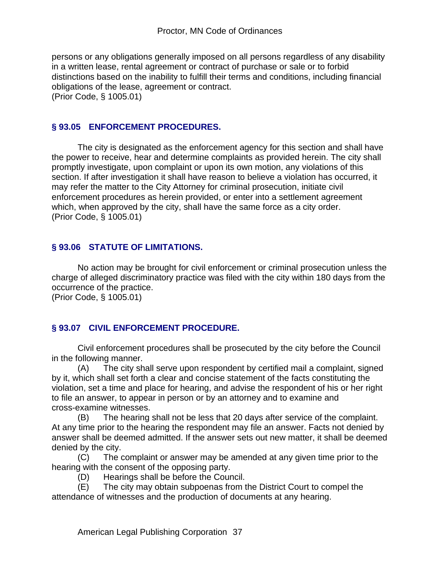persons or any obligations generally imposed on all persons regardless of any disability in a written lease, rental agreement or contract of purchase or sale or to forbid distinctions based on the inability to fulfill their terms and conditions, including financial obligations of the lease, agreement or contract. (Prior Code, § 1005.01)

### **§ 93.05 ENFORCEMENT PROCEDURES.**

The city is designated as the enforcement agency for this section and shall have the power to receive, hear and determine complaints as provided herein. The city shall promptly investigate, upon complaint or upon its own motion, any violations of this section. If after investigation it shall have reason to believe a violation has occurred, it may refer the matter to the City Attorney for criminal prosecution, initiate civil enforcement procedures as herein provided, or enter into a settlement agreement which, when approved by the city, shall have the same force as a city order. (Prior Code, § 1005.01)

#### **§ 93.06 STATUTE OF LIMITATIONS.**

No action may be brought for civil enforcement or criminal prosecution unless the charge of alleged discriminatory practice was filed with the city within 180 days from the occurrence of the practice.

(Prior Code, § 1005.01)

#### **§ 93.07 CIVIL ENFORCEMENT PROCEDURE.**

Civil enforcement procedures shall be prosecuted by the city before the Council in the following manner.

(A) The city shall serve upon respondent by certified mail a complaint, signed by it, which shall set forth a clear and concise statement of the facts constituting the violation, set a time and place for hearing, and advise the respondent of his or her right to file an answer, to appear in person or by an attorney and to examine and cross-examine witnesses.

(B) The hearing shall not be less that 20 days after service of the complaint. At any time prior to the hearing the respondent may file an answer. Facts not denied by answer shall be deemed admitted. If the answer sets out new matter, it shall be deemed denied by the city.

(C) The complaint or answer may be amended at any given time prior to the hearing with the consent of the opposing party.

(D) Hearings shall be before the Council.

(E) The city may obtain subpoenas from the District Court to compel the attendance of witnesses and the production of documents at any hearing.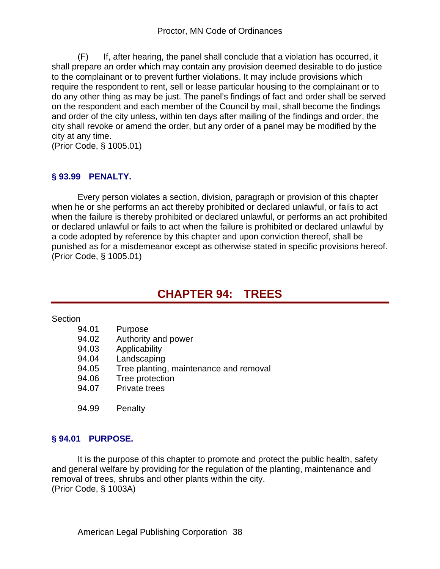(F) If, after hearing, the panel shall conclude that a violation has occurred, it shall prepare an order which may contain any provision deemed desirable to do justice to the complainant or to prevent further violations. It may include provisions which require the respondent to rent, sell or lease particular housing to the complainant or to do any other thing as may be just. The panel's findings of fact and order shall be served on the respondent and each member of the Council by mail, shall become the findings and order of the city unless, within ten days after mailing of the findings and order, the city shall revoke or amend the order, but any order of a panel may be modified by the city at any time.

(Prior Code, § 1005.01)

### **§ 93.99 PENALTY.**

Every person violates a section, division, paragraph or provision of this chapter when he or she performs an act thereby prohibited or declared unlawful, or fails to act when the failure is thereby prohibited or declared unlawful, or performs an act prohibited or declared unlawful or fails to act when the failure is prohibited or declared unlawful by a code adopted by reference by this chapter and upon conviction thereof, shall be punished as for a misdemeanor except as otherwise stated in specific provisions hereof. (Prior Code, § 1005.01)

# **CHAPTER 94: TREES**

**Section** 

- 94.01 Purpose
- 94.02 Authority and power
- 94.03 Applicability
- 94.04 Landscaping
- 94.05 Tree planting, maintenance and removal
- 94.06 Tree protection
- 94.07 Private trees
- 94.99 Penalty

#### **§ 94.01 PURPOSE.**

It is the purpose of this chapter to promote and protect the public health, safety and general welfare by providing for the regulation of the planting, maintenance and removal of trees, shrubs and other plants within the city. (Prior Code, § 1003A)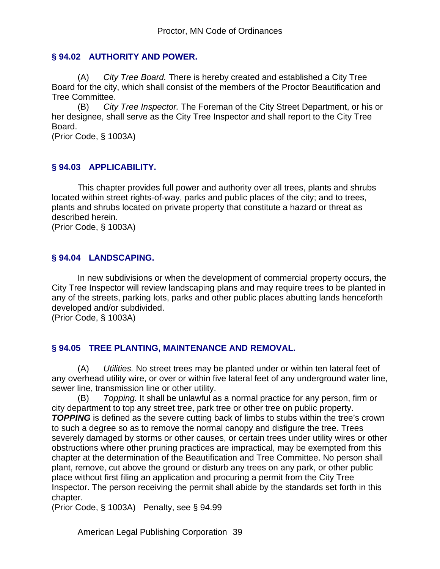#### **§ 94.02 AUTHORITY AND POWER.**

(A) *City Tree Board.* There is hereby created and established a City Tree Board for the city, which shall consist of the members of the Proctor Beautification and Tree Committee.

(B) *City Tree Inspector.* The Foreman of the City Street Department, or his or her designee, shall serve as the City Tree Inspector and shall report to the City Tree Board.

(Prior Code, § 1003A)

#### **§ 94.03 APPLICABILITY.**

This chapter provides full power and authority over all trees, plants and shrubs located within street rights-of-way, parks and public places of the city; and to trees, plants and shrubs located on private property that constitute a hazard or threat as described herein.

(Prior Code, § 1003A)

#### **§ 94.04 LANDSCAPING.**

In new subdivisions or when the development of commercial property occurs, the City Tree Inspector will review landscaping plans and may require trees to be planted in any of the streets, parking lots, parks and other public places abutting lands henceforth developed and/or subdivided.

(Prior Code, § 1003A)

#### **§ 94.05 TREE PLANTING, MAINTENANCE AND REMOVAL.**

(A) *Utilities.* No street trees may be planted under or within ten lateral feet of any overhead utility wire, or over or within five lateral feet of any underground water line, sewer line, transmission line or other utility.

(B) *Topping.* It shall be unlawful as a normal practice for any person, firm or city department to top any street tree, park tree or other tree on public property. **TOPPING** is defined as the severe cutting back of limbs to stubs within the tree's crown to such a degree so as to remove the normal canopy and disfigure the tree. Trees severely damaged by storms or other causes, or certain trees under utility wires or other obstructions where other pruning practices are impractical, may be exempted from this chapter at the determination of the Beautification and Tree Committee. No person shall plant, remove, cut above the ground or disturb any trees on any park, or other public place without first filing an application and procuring a permit from the City Tree Inspector. The person receiving the permit shall abide by the standards set forth in this chapter.

(Prior Code, § 1003A) Penalty, see § 94.99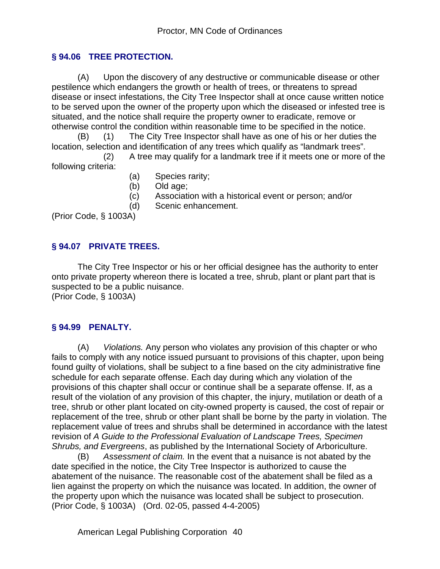### **§ 94.06 TREE PROTECTION.**

(A) Upon the discovery of any destructive or communicable disease or other pestilence which endangers the growth or health of trees, or threatens to spread disease or insect infestations, the City Tree Inspector shall at once cause written notice to be served upon the owner of the property upon which the diseased or infested tree is situated, and the notice shall require the property owner to eradicate, remove or otherwise control the condition within reasonable time to be specified in the notice.

(B) (1) The City Tree Inspector shall have as one of his or her duties the location, selection and identification of any trees which qualify as "landmark trees".

 (2) A tree may qualify for a landmark tree if it meets one or more of the following criteria:

- (a) Species rarity;
- (b) Old age;
- (c) Association with a historical event or person; and/or
- (d) Scenic enhancement.

(Prior Code, § 1003A)

#### **§ 94.07 PRIVATE TREES.**

The City Tree Inspector or his or her official designee has the authority to enter onto private property whereon there is located a tree, shrub, plant or plant part that is suspected to be a public nuisance. (Prior Code, § 1003A)

# **§ 94.99 PENALTY.**

(A) *Violations.* Any person who violates any provision of this chapter or who fails to comply with any notice issued pursuant to provisions of this chapter, upon being found guilty of violations, shall be subject to a fine based on the city administrative fine schedule for each separate offense. Each day during which any violation of the provisions of this chapter shall occur or continue shall be a separate offense. If, as a result of the violation of any provision of this chapter, the injury, mutilation or death of a tree, shrub or other plant located on city-owned property is caused, the cost of repair or replacement of the tree, shrub or other plant shall be borne by the party in violation. The replacement value of trees and shrubs shall be determined in accordance with the latest revision of *A Guide to the Professional Evaluation of Landscape Trees, Specimen Shrubs, and Evergreens*, as published by the International Society of Arboriculture.

(B) *Assessment of claim.* In the event that a nuisance is not abated by the date specified in the notice, the City Tree Inspector is authorized to cause the abatement of the nuisance. The reasonable cost of the abatement shall be filed as a lien against the property on which the nuisance was located. In addition, the owner of the property upon which the nuisance was located shall be subject to prosecution. (Prior Code, § 1003A) (Ord. 02-05, passed 4-4-2005)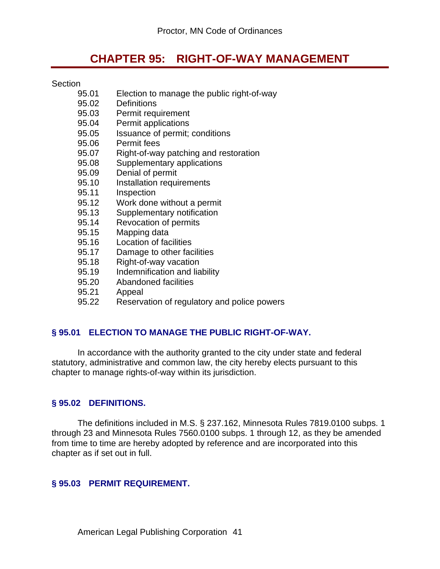# **CHAPTER 95: RIGHT-OF-WAY MANAGEMENT**

#### **Section**

- 95.01 Election to manage the public right-of-way
- 95.02 Definitions
- 95.03 Permit requirement
- 95.04 Permit applications
- 95.05 Issuance of permit; conditions
- 95.06 Permit fees
- 95.07 Right-of-way patching and restoration
- 95.08 Supplementary applications
- 95.09 Denial of permit
- 95.10 Installation requirements
- 95.11 Inspection<br>95.12 Work done
- Work done without a permit
- 95.13 Supplementary notification
- 95.14 Revocation of permits
- 95.15 Mapping data
- 95.16 Location of facilities
- 95.17 Damage to other facilities
- 95.18 Right-of-way vacation
- 95.19 Indemnification and liability
- 95.20 Abandoned facilities
- 95.21 Appeal
- 95.22 Reservation of regulatory and police powers

#### **§ 95.01 ELECTION TO MANAGE THE PUBLIC RIGHT-OF-WAY.**

In accordance with the authority granted to the city under state and federal statutory, administrative and common law, the city hereby elects pursuant to this chapter to manage rights-of-way within its jurisdiction.

#### **§ 95.02 DEFINITIONS.**

The definitions included in M.S. § 237.162, Minnesota Rules 7819.0100 subps. 1 through 23 and Minnesota Rules 7560.0100 subps. 1 through 12, as they be amended from time to time are hereby adopted by reference and are incorporated into this chapter as if set out in full.

#### **§ 95.03 PERMIT REQUIREMENT.**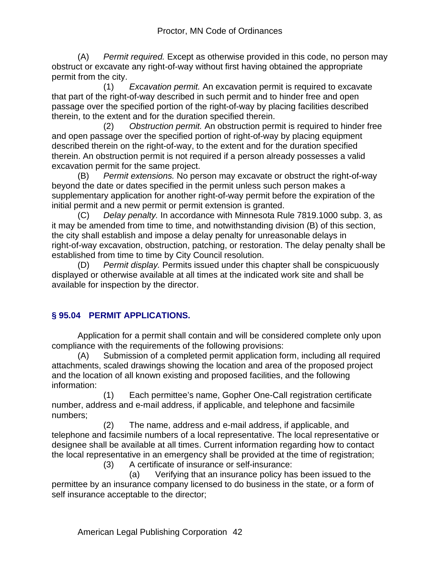(A) *Permit required.* Except as otherwise provided in this code, no person may obstruct or excavate any right-of-way without first having obtained the appropriate permit from the city.

 (1) *Excavation permit.* An excavation permit is required to excavate that part of the right-of-way described in such permit and to hinder free and open passage over the specified portion of the right-of-way by placing facilities described therein, to the extent and for the duration specified therein.

 (2) *Obstruction permit.* An obstruction permit is required to hinder free and open passage over the specified portion of right-of-way by placing equipment described therein on the right-of-way, to the extent and for the duration specified therein. An obstruction permit is not required if a person already possesses a valid excavation permit for the same project.

(B) *Permit extensions.* No person may excavate or obstruct the right-of-way beyond the date or dates specified in the permit unless such person makes a supplementary application for another right-of-way permit before the expiration of the initial permit and a new permit or permit extension is granted.

(C) *Delay penalty.* In accordance with Minnesota Rule 7819.1000 subp. 3, as it may be amended from time to time, and notwithstanding division (B) of this section, the city shall establish and impose a delay penalty for unreasonable delays in right-of-way excavation, obstruction, patching, or restoration. The delay penalty shall be established from time to time by City Council resolution.

(D) *Permit display.* Permits issued under this chapter shall be conspicuously displayed or otherwise available at all times at the indicated work site and shall be available for inspection by the director.

# **§ 95.04 PERMIT APPLICATIONS.**

Application for a permit shall contain and will be considered complete only upon compliance with the requirements of the following provisions:

(A) Submission of a completed permit application form, including all required attachments, scaled drawings showing the location and area of the proposed project and the location of all known existing and proposed facilities, and the following information:

 (1) Each permittee's name, Gopher One-Call registration certificate number, address and e-mail address, if applicable, and telephone and facsimile numbers;

 (2) The name, address and e-mail address, if applicable, and telephone and facsimile numbers of a local representative. The local representative or designee shall be available at all times. Current information regarding how to contact the local representative in an emergency shall be provided at the time of registration;

(3) A certificate of insurance or self-insurance:

 (a) Verifying that an insurance policy has been issued to the permittee by an insurance company licensed to do business in the state, or a form of self insurance acceptable to the director;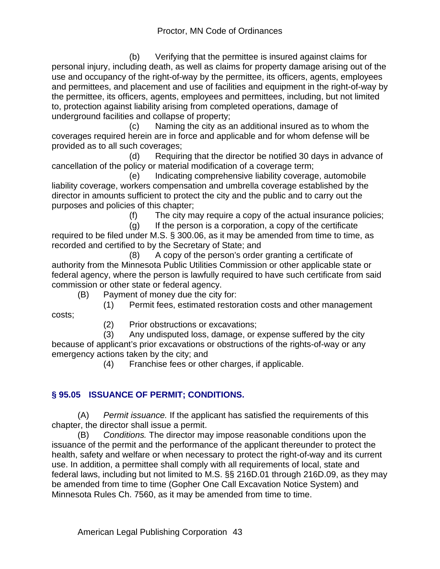(b) Verifying that the permittee is insured against claims for personal injury, including death, as well as claims for property damage arising out of the use and occupancy of the right-of-way by the permittee, its officers, agents, employees and permittees, and placement and use of facilities and equipment in the right-of-way by the permittee, its officers, agents, employees and permittees, including, but not limited to, protection against liability arising from completed operations, damage of underground facilities and collapse of property;

 (c) Naming the city as an additional insured as to whom the coverages required herein are in force and applicable and for whom defense will be provided as to all such coverages;

 (d) Requiring that the director be notified 30 days in advance of cancellation of the policy or material modification of a coverage term;

 (e) Indicating comprehensive liability coverage, automobile liability coverage, workers compensation and umbrella coverage established by the director in amounts sufficient to protect the city and the public and to carry out the purposes and policies of this chapter;

(f) The city may require a copy of the actual insurance policies;

 (g) If the person is a corporation, a copy of the certificate required to be filed under M.S. § 300.06, as it may be amended from time to time, as recorded and certified to by the Secretary of State; and

 (8) A copy of the person's order granting a certificate of authority from the Minnesota Public Utilities Commission or other applicable state or federal agency, where the person is lawfully required to have such certificate from said commission or other state or federal agency.

(B) Payment of money due the city for:

(1) Permit fees, estimated restoration costs and other management

(2) Prior obstructions or excavations;

 (3) Any undisputed loss, damage, or expense suffered by the city because of applicant's prior excavations or obstructions of the rights-of-way or any emergency actions taken by the city; and

(4) Franchise fees or other charges, if applicable.

# **§ 95.05 ISSUANCE OF PERMIT; CONDITIONS.**

costs;

(A) *Permit issuance.* If the applicant has satisfied the requirements of this chapter, the director shall issue a permit.

(B) *Conditions.* The director may impose reasonable conditions upon the issuance of the permit and the performance of the applicant thereunder to protect the health, safety and welfare or when necessary to protect the right-of-way and its current use. In addition, a permittee shall comply with all requirements of local, state and federal laws, including but not limited to M.S. §§ 216D.01 through 216D.09, as they may be amended from time to time (Gopher One Call Excavation Notice System) and Minnesota Rules Ch. 7560, as it may be amended from time to time.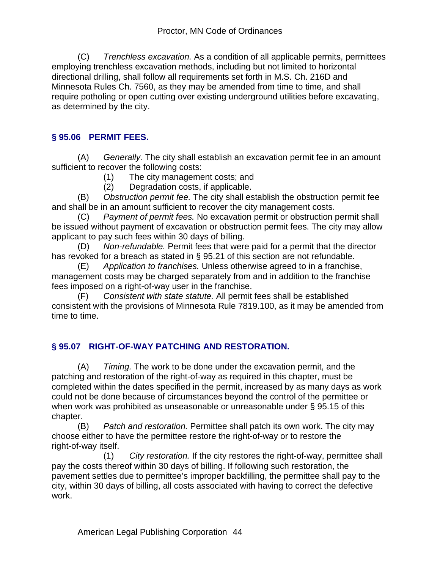(C) *Trenchless excavation.* As a condition of all applicable permits, permittees employing trenchless excavation methods, including but not limited to horizontal directional drilling, shall follow all requirements set forth in M.S. Ch. 216D and Minnesota Rules Ch. 7560, as they may be amended from time to time, and shall require potholing or open cutting over existing underground utilities before excavating, as determined by the city.

# **§ 95.06 PERMIT FEES.**

(A) *Generally.* The city shall establish an excavation permit fee in an amount sufficient to recover the following costs:

- (1) The city management costs; and
- (2) Degradation costs, if applicable.

(B) *Obstruction permit fee.* The city shall establish the obstruction permit fee and shall be in an amount sufficient to recover the city management costs.

(C) *Payment of permit fees.* No excavation permit or obstruction permit shall be issued without payment of excavation or obstruction permit fees. The city may allow applicant to pay such fees within 30 days of billing.

(D) *Non-refundable.* Permit fees that were paid for a permit that the director has revoked for a breach as stated in § 95.21 of this section are not refundable.

(E) *Application to franchises.* Unless otherwise agreed to in a franchise, management costs may be charged separately from and in addition to the franchise fees imposed on a right-of-way user in the franchise.

(F) *Consistent with state statute.* All permit fees shall be established consistent with the provisions of Minnesota Rule 7819.100, as it may be amended from time to time.

# **§ 95.07 RIGHT-OF-WAY PATCHING AND RESTORATION.**

(A) *Timing.* The work to be done under the excavation permit, and the patching and restoration of the right-of-way as required in this chapter, must be completed within the dates specified in the permit, increased by as many days as work could not be done because of circumstances beyond the control of the permittee or when work was prohibited as unseasonable or unreasonable under § 95.15 of this chapter.

(B) *Patch and restoration.* Permittee shall patch its own work. The city may choose either to have the permittee restore the right-of-way or to restore the right-of-way itself.

 (1) *City restoration.* If the city restores the right-of-way, permittee shall pay the costs thereof within 30 days of billing. If following such restoration, the pavement settles due to permittee's improper backfilling, the permittee shall pay to the city, within 30 days of billing, all costs associated with having to correct the defective work.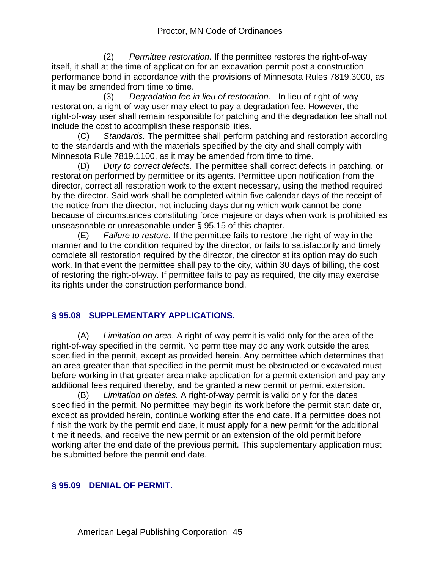(2) *Permittee restoration.* If the permittee restores the right-of-way itself, it shall at the time of application for an excavation permit post a construction performance bond in accordance with the provisions of Minnesota Rules 7819.3000, as it may be amended from time to time.

 (3) *Degradation fee in lieu of restoration.* In lieu of right-of-way restoration, a right-of-way user may elect to pay a degradation fee. However, the right-of-way user shall remain responsible for patching and the degradation fee shall not include the cost to accomplish these responsibilities.

(C) *Standards.* The permittee shall perform patching and restoration according to the standards and with the materials specified by the city and shall comply with Minnesota Rule 7819.1100, as it may be amended from time to time.

(D) *Duty to correct defects.* The permittee shall correct defects in patching, or restoration performed by permittee or its agents. Permittee upon notification from the director, correct all restoration work to the extent necessary, using the method required by the director. Said work shall be completed within five calendar days of the receipt of the notice from the director, not including days during which work cannot be done because of circumstances constituting force majeure or days when work is prohibited as unseasonable or unreasonable under § 95.15 of this chapter.

(E) *Failure to restore.* If the permittee fails to restore the right-of-way in the manner and to the condition required by the director, or fails to satisfactorily and timely complete all restoration required by the director, the director at its option may do such work. In that event the permittee shall pay to the city, within 30 days of billing, the cost of restoring the right-of-way. If permittee fails to pay as required, the city may exercise its rights under the construction performance bond.

# **§ 95.08 SUPPLEMENTARY APPLICATIONS.**

(A) *Limitation on area.* A right-of-way permit is valid only for the area of the right-of-way specified in the permit. No permittee may do any work outside the area specified in the permit, except as provided herein. Any permittee which determines that an area greater than that specified in the permit must be obstructed or excavated must before working in that greater area make application for a permit extension and pay any additional fees required thereby, and be granted a new permit or permit extension.

(B) *Limitation on dates.* A right-of-way permit is valid only for the dates specified in the permit. No permittee may begin its work before the permit start date or, except as provided herein, continue working after the end date. If a permittee does not finish the work by the permit end date, it must apply for a new permit for the additional time it needs, and receive the new permit or an extension of the old permit before working after the end date of the previous permit. This supplementary application must be submitted before the permit end date.

#### **§ 95.09 DENIAL OF PERMIT.**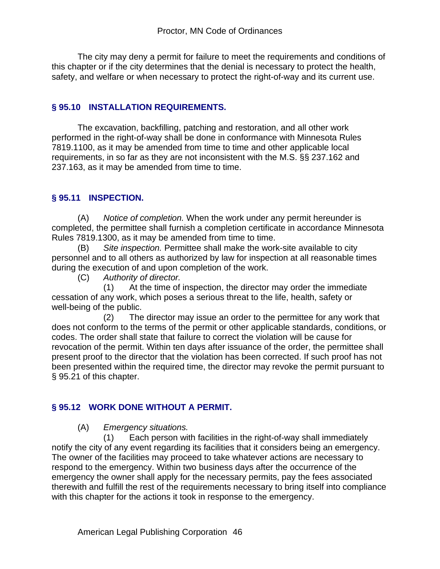The city may deny a permit for failure to meet the requirements and conditions of this chapter or if the city determines that the denial is necessary to protect the health, safety, and welfare or when necessary to protect the right-of-way and its current use.

### **§ 95.10 INSTALLATION REQUIREMENTS.**

The excavation, backfilling, patching and restoration, and all other work performed in the right-of-way shall be done in conformance with Minnesota Rules 7819.1100, as it may be amended from time to time and other applicable local requirements, in so far as they are not inconsistent with the M.S. §§ 237.162 and 237.163, as it may be amended from time to time.

# **§ 95.11 INSPECTION.**

(A) *Notice of completion.* When the work under any permit hereunder is completed, the permittee shall furnish a completion certificate in accordance Minnesota Rules 7819.1300, as it may be amended from time to time.

(B) *Site inspection.* Permittee shall make the work-site available to city personnel and to all others as authorized by law for inspection at all reasonable times during the execution of and upon completion of the work.

(C) *Authority of director.*

 (1) At the time of inspection, the director may order the immediate cessation of any work, which poses a serious threat to the life, health, safety or well-being of the public.

 (2) The director may issue an order to the permittee for any work that does not conform to the terms of the permit or other applicable standards, conditions, or codes. The order shall state that failure to correct the violation will be cause for revocation of the permit. Within ten days after issuance of the order, the permittee shall present proof to the director that the violation has been corrected. If such proof has not been presented within the required time, the director may revoke the permit pursuant to § 95.21 of this chapter.

# **§ 95.12 WORK DONE WITHOUT A PERMIT.**

(A) *Emergency situations.* 

 (1) Each person with facilities in the right-of-way shall immediately notify the city of any event regarding its facilities that it considers being an emergency. The owner of the facilities may proceed to take whatever actions are necessary to respond to the emergency. Within two business days after the occurrence of the emergency the owner shall apply for the necessary permits, pay the fees associated therewith and fulfill the rest of the requirements necessary to bring itself into compliance with this chapter for the actions it took in response to the emergency.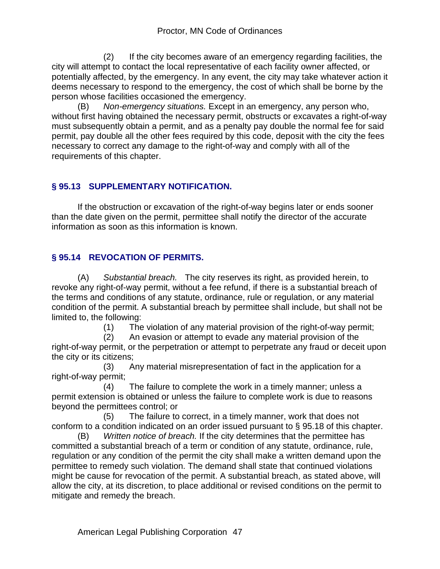(2) If the city becomes aware of an emergency regarding facilities, the city will attempt to contact the local representative of each facility owner affected, or potentially affected, by the emergency. In any event, the city may take whatever action it deems necessary to respond to the emergency, the cost of which shall be borne by the person whose facilities occasioned the emergency.

(B) *Non-emergency situations.* Except in an emergency, any person who, without first having obtained the necessary permit, obstructs or excavates a right-of-way must subsequently obtain a permit, and as a penalty pay double the normal fee for said permit, pay double all the other fees required by this code, deposit with the city the fees necessary to correct any damage to the right-of-way and comply with all of the requirements of this chapter.

# **§ 95.13 SUPPLEMENTARY NOTIFICATION.**

If the obstruction or excavation of the right-of-way begins later or ends sooner than the date given on the permit, permittee shall notify the director of the accurate information as soon as this information is known.

# **§ 95.14 REVOCATION OF PERMITS.**

(A) *Substantial breach.* The city reserves its right, as provided herein, to revoke any right-of-way permit, without a fee refund, if there is a substantial breach of the terms and conditions of any statute, ordinance, rule or regulation, or any material condition of the permit. A substantial breach by permittee shall include, but shall not be limited to, the following:

(1) The violation of any material provision of the right-of-way permit;

 (2) An evasion or attempt to evade any material provision of the right-of-way permit, or the perpetration or attempt to perpetrate any fraud or deceit upon the city or its citizens;

 (3) Any material misrepresentation of fact in the application for a right-of-way permit;

 (4) The failure to complete the work in a timely manner; unless a permit extension is obtained or unless the failure to complete work is due to reasons beyond the permittees control; or

 (5) The failure to correct, in a timely manner, work that does not conform to a condition indicated on an order issued pursuant to § 95.18 of this chapter.

(B) *Written notice of breach.* If the city determines that the permittee has committed a substantial breach of a term or condition of any statute, ordinance, rule, regulation or any condition of the permit the city shall make a written demand upon the permittee to remedy such violation. The demand shall state that continued violations might be cause for revocation of the permit. A substantial breach, as stated above, will allow the city, at its discretion, to place additional or revised conditions on the permit to mitigate and remedy the breach.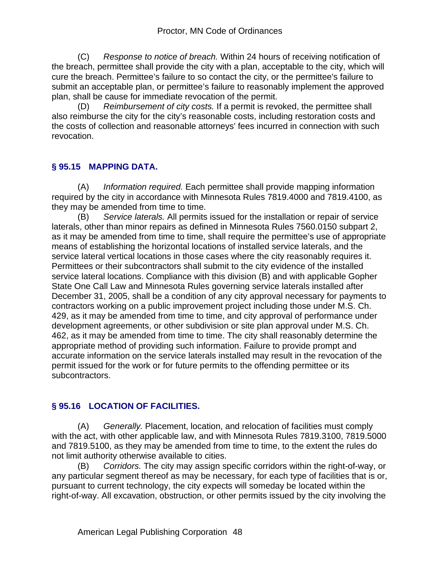(C) *Response to notice of breach.* Within 24 hours of receiving notification of the breach, permittee shall provide the city with a plan, acceptable to the city, which will cure the breach. Permittee's failure to so contact the city, or the permittee's failure to submit an acceptable plan, or permittee's failure to reasonably implement the approved plan, shall be cause for immediate revocation of the permit.

(D) *Reimbursement of city costs.* If a permit is revoked, the permittee shall also reimburse the city for the city's reasonable costs, including restoration costs and the costs of collection and reasonable attorneys' fees incurred in connection with such revocation.

### **§ 95.15 MAPPING DATA.**

(A) *Information required.* Each permittee shall provide mapping information required by the city in accordance with Minnesota Rules 7819.4000 and 7819.4100, as they may be amended from time to time.

(B) *Service laterals.* All permits issued for the installation or repair of service laterals, other than minor repairs as defined in Minnesota Rules 7560.0150 subpart 2, as it may be amended from time to time, shall require the permittee's use of appropriate means of establishing the horizontal locations of installed service laterals, and the service lateral vertical locations in those cases where the city reasonably requires it. Permittees or their subcontractors shall submit to the city evidence of the installed service lateral locations. Compliance with this division (B) and with applicable Gopher State One Call Law and Minnesota Rules governing service laterals installed after December 31, 2005, shall be a condition of any city approval necessary for payments to contractors working on a public improvement project including those under M.S. Ch. 429, as it may be amended from time to time, and city approval of performance under development agreements, or other subdivision or site plan approval under M.S. Ch. 462, as it may be amended from time to time. The city shall reasonably determine the appropriate method of providing such information. Failure to provide prompt and accurate information on the service laterals installed may result in the revocation of the permit issued for the work or for future permits to the offending permittee or its subcontractors.

# **§ 95.16 LOCATION OF FACILITIES.**

(A) *Generally.* Placement, location, and relocation of facilities must comply with the act, with other applicable law, and with Minnesota Rules 7819.3100, 7819.5000 and 7819.5100, as they may be amended from time to time, to the extent the rules do not limit authority otherwise available to cities.

(B) *Corridors.* The city may assign specific corridors within the right-of-way, or any particular segment thereof as may be necessary, for each type of facilities that is or, pursuant to current technology, the city expects will someday be located within the right-of-way. All excavation, obstruction, or other permits issued by the city involving the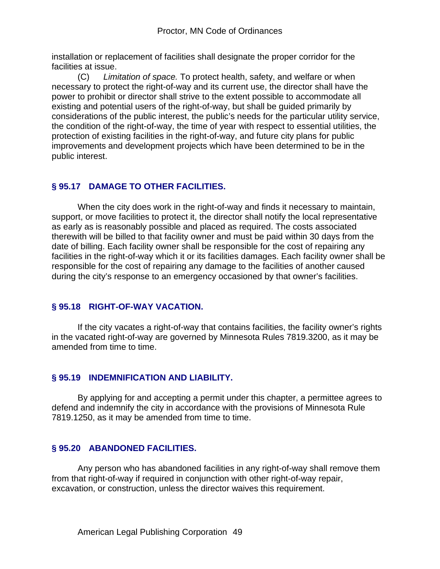installation or replacement of facilities shall designate the proper corridor for the facilities at issue.

(C) *Limitation of space.* To protect health, safety, and welfare or when necessary to protect the right-of-way and its current use, the director shall have the power to prohibit or director shall strive to the extent possible to accommodate all existing and potential users of the right-of-way, but shall be guided primarily by considerations of the public interest, the public's needs for the particular utility service, the condition of the right-of-way, the time of year with respect to essential utilities, the protection of existing facilities in the right-of-way, and future city plans for public improvements and development projects which have been determined to be in the public interest.

# **§ 95.17 DAMAGE TO OTHER FACILITIES.**

When the city does work in the right-of-way and finds it necessary to maintain, support, or move facilities to protect it, the director shall notify the local representative as early as is reasonably possible and placed as required. The costs associated therewith will be billed to that facility owner and must be paid within 30 days from the date of billing. Each facility owner shall be responsible for the cost of repairing any facilities in the right-of-way which it or its facilities damages. Each facility owner shall be responsible for the cost of repairing any damage to the facilities of another caused during the city's response to an emergency occasioned by that owner's facilities.

#### **§ 95.18 RIGHT-OF-WAY VACATION.**

 If the city vacates a right-of-way that contains facilities, the facility owner's rights in the vacated right-of-way are governed by Minnesota Rules 7819.3200, as it may be amended from time to time.

#### **§ 95.19 INDEMNIFICATION AND LIABILITY.**

By applying for and accepting a permit under this chapter, a permittee agrees to defend and indemnify the city in accordance with the provisions of Minnesota Rule 7819.1250, as it may be amended from time to time.

#### **§ 95.20 ABANDONED FACILITIES.**

Any person who has abandoned facilities in any right-of-way shall remove them from that right-of-way if required in conjunction with other right-of-way repair, excavation, or construction, unless the director waives this requirement.